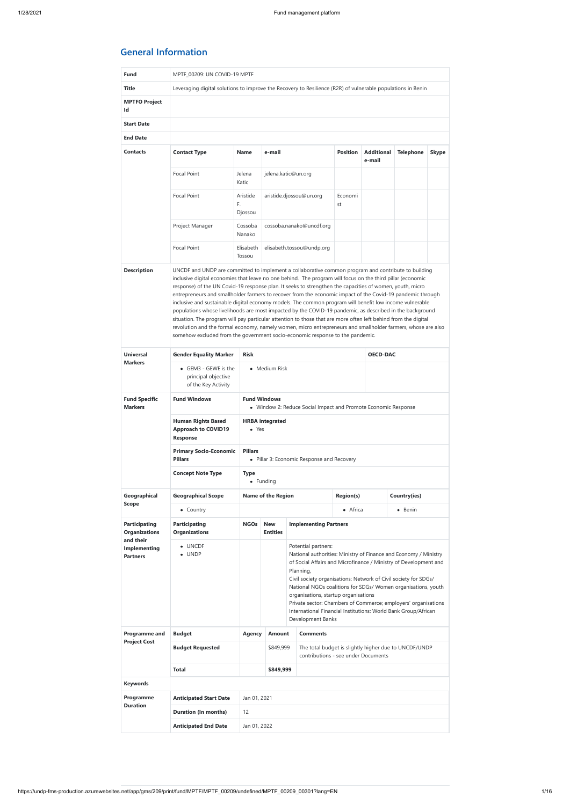# **General Information**

| <b>Fund</b>                                         | MPTF_00209: UN COVID-19 MPTF                                                                                |                                                                                       |                                                                                                                                                                                                                                                                                                                                                                                                                                                                                                                                                                                                                                                                                                                                                                                                                                                                                |                                                                                                                                                                                                                                                                                                                                                                                                                                                                                                               |                  |                             |                                                       |              |  |
|-----------------------------------------------------|-------------------------------------------------------------------------------------------------------------|---------------------------------------------------------------------------------------|--------------------------------------------------------------------------------------------------------------------------------------------------------------------------------------------------------------------------------------------------------------------------------------------------------------------------------------------------------------------------------------------------------------------------------------------------------------------------------------------------------------------------------------------------------------------------------------------------------------------------------------------------------------------------------------------------------------------------------------------------------------------------------------------------------------------------------------------------------------------------------|---------------------------------------------------------------------------------------------------------------------------------------------------------------------------------------------------------------------------------------------------------------------------------------------------------------------------------------------------------------------------------------------------------------------------------------------------------------------------------------------------------------|------------------|-----------------------------|-------------------------------------------------------|--------------|--|
| <b>Title</b>                                        | Leveraging digital solutions to improve the Recovery to Resilience (R2R) of vulnerable populations in Benin |                                                                                       |                                                                                                                                                                                                                                                                                                                                                                                                                                                                                                                                                                                                                                                                                                                                                                                                                                                                                |                                                                                                                                                                                                                                                                                                                                                                                                                                                                                                               |                  |                             |                                                       |              |  |
| <b>MPTFO Project</b><br>Id                          |                                                                                                             |                                                                                       |                                                                                                                                                                                                                                                                                                                                                                                                                                                                                                                                                                                                                                                                                                                                                                                                                                                                                |                                                                                                                                                                                                                                                                                                                                                                                                                                                                                                               |                  |                             |                                                       |              |  |
| <b>Start Date</b>                                   |                                                                                                             |                                                                                       |                                                                                                                                                                                                                                                                                                                                                                                                                                                                                                                                                                                                                                                                                                                                                                                                                                                                                |                                                                                                                                                                                                                                                                                                                                                                                                                                                                                                               |                  |                             |                                                       |              |  |
| <b>End Date</b>                                     |                                                                                                             |                                                                                       |                                                                                                                                                                                                                                                                                                                                                                                                                                                                                                                                                                                                                                                                                                                                                                                                                                                                                |                                                                                                                                                                                                                                                                                                                                                                                                                                                                                                               |                  |                             |                                                       |              |  |
| <b>Contacts</b>                                     | <b>Contact Type</b>                                                                                         | <b>Name</b>                                                                           | e-mail                                                                                                                                                                                                                                                                                                                                                                                                                                                                                                                                                                                                                                                                                                                                                                                                                                                                         |                                                                                                                                                                                                                                                                                                                                                                                                                                                                                                               | <b>Position</b>  | <b>Additional</b><br>e-mail | <b>Telephone</b>                                      | <b>Skype</b> |  |
|                                                     | <b>Focal Point</b>                                                                                          | Jelena<br>Katic                                                                       |                                                                                                                                                                                                                                                                                                                                                                                                                                                                                                                                                                                                                                                                                                                                                                                                                                                                                | jelena.katic@un.org                                                                                                                                                                                                                                                                                                                                                                                                                                                                                           |                  |                             |                                                       |              |  |
|                                                     | Focal Point                                                                                                 | Aristide<br>F.<br>Djossou                                                             | aristide.djossou@un.org<br>st                                                                                                                                                                                                                                                                                                                                                                                                                                                                                                                                                                                                                                                                                                                                                                                                                                                  |                                                                                                                                                                                                                                                                                                                                                                                                                                                                                                               | Economi          |                             |                                                       |              |  |
|                                                     | Project Manager                                                                                             | Cossoba<br>Nanako                                                                     | cossoba.nanako@uncdf.org                                                                                                                                                                                                                                                                                                                                                                                                                                                                                                                                                                                                                                                                                                                                                                                                                                                       |                                                                                                                                                                                                                                                                                                                                                                                                                                                                                                               |                  |                             |                                                       |              |  |
|                                                     | <b>Focal Point</b>                                                                                          | Elisabeth<br>Tossou                                                                   |                                                                                                                                                                                                                                                                                                                                                                                                                                                                                                                                                                                                                                                                                                                                                                                                                                                                                | elisabeth.tossou@undp.org                                                                                                                                                                                                                                                                                                                                                                                                                                                                                     |                  |                             |                                                       |              |  |
|                                                     |                                                                                                             |                                                                                       | inclusive digital economies that leave no one behind. The program will focus on the third pillar (economic<br>response) of the UN Covid-19 response plan. It seeks to strengthen the capacities of women, youth, micro<br>entrepreneurs and smallholder farmers to recover from the economic impact of the Covid-19 pandemic through<br>inclusive and sustainable digital economy models. The common program will benefit low income vulnerable<br>populations whose livelihoods are most impacted by the COVID-19 pandemic, as described in the background<br>situation. The program will pay particular attention to those that are more often left behind from the digital<br>revolution and the formal economy, namely women, micro entrepreneurs and smallholder farmers, whose are also<br>somehow excluded from the government socio-economic response to the pandemic. |                                                                                                                                                                                                                                                                                                                                                                                                                                                                                                               |                  |                             |                                                       |              |  |
| <b>Universal</b><br><b>Markers</b>                  | <b>Gender Equality Marker</b>                                                                               | <b>Risk</b>                                                                           |                                                                                                                                                                                                                                                                                                                                                                                                                                                                                                                                                                                                                                                                                                                                                                                                                                                                                |                                                                                                                                                                                                                                                                                                                                                                                                                                                                                                               |                  | <b>OECD-DAC</b>             |                                                       |              |  |
|                                                     | $\bullet$ GEM3 - GEWE is the<br>principal objective<br>of the Key Activity                                  |                                                                                       | • Medium Risk                                                                                                                                                                                                                                                                                                                                                                                                                                                                                                                                                                                                                                                                                                                                                                                                                                                                  |                                                                                                                                                                                                                                                                                                                                                                                                                                                                                                               |                  |                             |                                                       |              |  |
| <b>Fund Specific</b><br><b>Markers</b>              | <b>Fund Windows</b>                                                                                         | <b>Fund Windows</b><br>• Window 2: Reduce Social Impact and Promote Economic Response |                                                                                                                                                                                                                                                                                                                                                                                                                                                                                                                                                                                                                                                                                                                                                                                                                                                                                |                                                                                                                                                                                                                                                                                                                                                                                                                                                                                                               |                  |                             |                                                       |              |  |
|                                                     | <b>Human Rights Based</b><br><b>Approach to COVID19</b><br><b>Response</b>                                  | <b>HRBA</b> integrated<br>• Yes                                                       |                                                                                                                                                                                                                                                                                                                                                                                                                                                                                                                                                                                                                                                                                                                                                                                                                                                                                |                                                                                                                                                                                                                                                                                                                                                                                                                                                                                                               |                  |                             |                                                       |              |  |
|                                                     | <b>Primary Socio-Economic</b><br><b>Pillars</b>                                                             | <b>Pillars</b>                                                                        | • Pillar 3: Economic Response and Recovery                                                                                                                                                                                                                                                                                                                                                                                                                                                                                                                                                                                                                                                                                                                                                                                                                                     |                                                                                                                                                                                                                                                                                                                                                                                                                                                                                                               |                  |                             |                                                       |              |  |
|                                                     | <b>Concept Note Type</b>                                                                                    | <b>Type</b>                                                                           | • Funding                                                                                                                                                                                                                                                                                                                                                                                                                                                                                                                                                                                                                                                                                                                                                                                                                                                                      |                                                                                                                                                                                                                                                                                                                                                                                                                                                                                                               |                  |                             |                                                       |              |  |
| Geographical                                        | <b>Geographical Scope</b>                                                                                   |                                                                                       | <b>Name of the Region</b>                                                                                                                                                                                                                                                                                                                                                                                                                                                                                                                                                                                                                                                                                                                                                                                                                                                      |                                                                                                                                                                                                                                                                                                                                                                                                                                                                                                               | <b>Region(s)</b> |                             | Country(ies)                                          |              |  |
| <b>Scope</b>                                        | • Country                                                                                                   |                                                                                       |                                                                                                                                                                                                                                                                                                                                                                                                                                                                                                                                                                                                                                                                                                                                                                                                                                                                                |                                                                                                                                                                                                                                                                                                                                                                                                                                                                                                               | • Africa         |                             | • Benin                                               |              |  |
| <b>Participating</b><br><b>Organizations</b>        | <b>Participating</b><br><b>Organizations</b>                                                                | <b>NGOs</b>                                                                           | <b>New</b><br><b>Entities</b>                                                                                                                                                                                                                                                                                                                                                                                                                                                                                                                                                                                                                                                                                                                                                                                                                                                  | <b>Implementing Partners</b>                                                                                                                                                                                                                                                                                                                                                                                                                                                                                  |                  |                             |                                                       |              |  |
| and their<br><b>Implementing</b><br><b>Partners</b> | • UNCDF<br>$\bullet$ UNDP                                                                                   |                                                                                       |                                                                                                                                                                                                                                                                                                                                                                                                                                                                                                                                                                                                                                                                                                                                                                                                                                                                                | Potential partners:<br>National authorities: Ministry of Finance and Economy / Ministry<br>of Social Affairs and Microfinance / Ministry of Development and<br>Planning,<br>Civil society organisations: Network of Civil society for SDGs/<br>National NGOs coalitions for SDGs/ Women organisations, youth<br>organisations, startup organisations<br>Private sector: Chambers of Commerce; employers' organisations<br>International Financial Institutions: World Bank Group/African<br>Development Banks |                  |                             |                                                       |              |  |
| Programme and                                       | <b>Budget</b>                                                                                               | <b>Agency</b>                                                                         | <b>Amount</b>                                                                                                                                                                                                                                                                                                                                                                                                                                                                                                                                                                                                                                                                                                                                                                                                                                                                  | <b>Comments</b>                                                                                                                                                                                                                                                                                                                                                                                                                                                                                               |                  |                             |                                                       |              |  |
| <b>Project Cost</b>                                 | <b>Budget Requested</b>                                                                                     |                                                                                       | \$849,999<br>contributions - see under Documents                                                                                                                                                                                                                                                                                                                                                                                                                                                                                                                                                                                                                                                                                                                                                                                                                               |                                                                                                                                                                                                                                                                                                                                                                                                                                                                                                               |                  |                             | The total budget is slightly higher due to UNCDF/UNDP |              |  |
|                                                     | <b>Total</b>                                                                                                |                                                                                       | \$849,999                                                                                                                                                                                                                                                                                                                                                                                                                                                                                                                                                                                                                                                                                                                                                                                                                                                                      |                                                                                                                                                                                                                                                                                                                                                                                                                                                                                                               |                  |                             |                                                       |              |  |
| <b>Keywords</b>                                     |                                                                                                             |                                                                                       |                                                                                                                                                                                                                                                                                                                                                                                                                                                                                                                                                                                                                                                                                                                                                                                                                                                                                |                                                                                                                                                                                                                                                                                                                                                                                                                                                                                                               |                  |                             |                                                       |              |  |
| Programme                                           | <b>Anticipated Start Date</b>                                                                               | Jan 01, 2021                                                                          |                                                                                                                                                                                                                                                                                                                                                                                                                                                                                                                                                                                                                                                                                                                                                                                                                                                                                |                                                                                                                                                                                                                                                                                                                                                                                                                                                                                                               |                  |                             |                                                       |              |  |
| <b>Duration</b>                                     | <b>Duration (In months)</b>                                                                                 | 12                                                                                    |                                                                                                                                                                                                                                                                                                                                                                                                                                                                                                                                                                                                                                                                                                                                                                                                                                                                                |                                                                                                                                                                                                                                                                                                                                                                                                                                                                                                               |                  |                             |                                                       |              |  |
|                                                     | <b>Anticipated End Date</b>                                                                                 | Jan 01, 2022                                                                          |                                                                                                                                                                                                                                                                                                                                                                                                                                                                                                                                                                                                                                                                                                                                                                                                                                                                                |                                                                                                                                                                                                                                                                                                                                                                                                                                                                                                               |                  |                             |                                                       |              |  |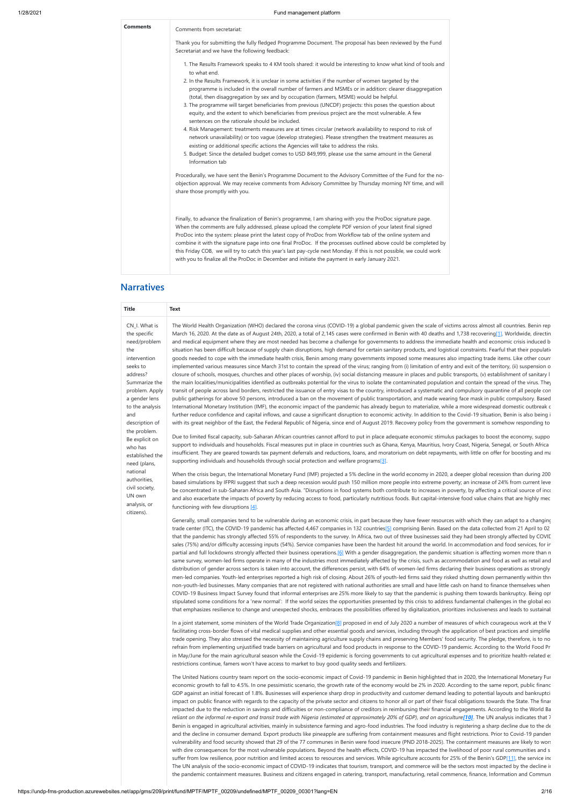| <b>Comments</b> | Comments from secretariat:                                                                                                                                                                                                                                                                                                                                                                                                                                                                                                                                                                                                                                                                                                                                                                                                                                                                                                                                                                                                                                                                                                                              |  |
|-----------------|---------------------------------------------------------------------------------------------------------------------------------------------------------------------------------------------------------------------------------------------------------------------------------------------------------------------------------------------------------------------------------------------------------------------------------------------------------------------------------------------------------------------------------------------------------------------------------------------------------------------------------------------------------------------------------------------------------------------------------------------------------------------------------------------------------------------------------------------------------------------------------------------------------------------------------------------------------------------------------------------------------------------------------------------------------------------------------------------------------------------------------------------------------|--|
|                 | Thank you for submitting the fully fledged Programme Document. The proposal has been reviewed by the Fund<br>Secretariat and we have the following feedback:                                                                                                                                                                                                                                                                                                                                                                                                                                                                                                                                                                                                                                                                                                                                                                                                                                                                                                                                                                                            |  |
|                 | 1. The Results Framework speaks to 4 KM tools shared: it would be interesting to know what kind of tools and<br>to what end.<br>2. In the Results Framework, it is unclear in some activities if the number of women targeted by the<br>programme is included in the overall number of farmers and MSMEs or in addition: clearer disaggregation<br>(total, then disaggregation by sex and by occupation (farmers, MSME) would be helpful.<br>3. The programme will target beneficiaries from previous (UNCDF) projects: this poses the question about<br>equity, and the extent to which beneficiaries from previous project are the most vulnerable. A few<br>sentences on the rationale should be included.<br>4. Risk Management: treatments measures are at times circular (network availability to respond to risk of<br>network unavailability) or too vague (develop strategies). Please strengthen the treatment measures as<br>existing or additional specific actions the Agencies will take to address the risks.<br>5. Budget: Since the detailed budget comes to USD 849,999, please use the same amount in the General<br>Information tab |  |
|                 | Procedurally, we have sent the Benin's Programme Document to the Advisory Committee of the Fund for the no-<br>objection approval. We may receive comments from Advisory Committee by Thursday morning NY time, and will<br>share those promptly with you.                                                                                                                                                                                                                                                                                                                                                                                                                                                                                                                                                                                                                                                                                                                                                                                                                                                                                              |  |
|                 | Finally, to advance the finalization of Benin's programme, I am sharing with you the ProDoc signature page.<br>When the comments are fully addressed, please upload the complete PDF version of your latest final signed<br>ProDoc into the system: please print the latest copy of ProDoc from Workflow tab of the online system and<br>combine it with the signature page into one final ProDoc. If the processes outlined above could be completed by<br>this Friday COB, we will try to catch this year's last pay-cycle next Monday. If this is not possible, we could work<br>with you to finalize all the ProDoc in December and initiate the payment in early January 2021.                                                                                                                                                                                                                                                                                                                                                                                                                                                                     |  |

### **Narratives**

In a joint statement, some ministers of the World Trade Organization[8] proposed in end of July 2020 a number of measures of which courageous work at the V facilitating cross-border flows of vital medical supplies and other essential goods and services, including through the application of best practices and simplifie trade opening. They also stressed the necessity of maintaining agriculture supply chains and preserving Members' food security. The pledge, therefore, is to no refrain from implementing unjustified trade barriers on agricultural and food products in response to the COVID-19 pandemic. According to the World Food Pr in May/June for the main agricultural season while the Covid-19 epidemic is forcing governments to cut agricultural expenses and to prioritize health-related ex restrictions continue, famers won't have access to market to buy good quality seeds and fertilizers.

| <b>Title</b>                                                                                                                                                                                                 | <b>Text</b>                                                                                                                                                                                                                                                                                                                                                                                                                                                                                                                                                                                                                                                                                                                                                                                                                                                                                                                                                                                                                                                                                                                                                                                                                                                                                                                                                                                                                                                                                                                                                                                                                                                                                                                                                                                                                                                                                                                                                                                                                                                                                                                                                                               |
|--------------------------------------------------------------------------------------------------------------------------------------------------------------------------------------------------------------|-------------------------------------------------------------------------------------------------------------------------------------------------------------------------------------------------------------------------------------------------------------------------------------------------------------------------------------------------------------------------------------------------------------------------------------------------------------------------------------------------------------------------------------------------------------------------------------------------------------------------------------------------------------------------------------------------------------------------------------------------------------------------------------------------------------------------------------------------------------------------------------------------------------------------------------------------------------------------------------------------------------------------------------------------------------------------------------------------------------------------------------------------------------------------------------------------------------------------------------------------------------------------------------------------------------------------------------------------------------------------------------------------------------------------------------------------------------------------------------------------------------------------------------------------------------------------------------------------------------------------------------------------------------------------------------------------------------------------------------------------------------------------------------------------------------------------------------------------------------------------------------------------------------------------------------------------------------------------------------------------------------------------------------------------------------------------------------------------------------------------------------------------------------------------------------------|
| CN_I. What is<br>the specific<br>need/problem<br>the<br>intervention<br>seeks to<br>address?<br>Summarize the<br>problem. Apply<br>a gender lens<br>to the analysis<br>and<br>description of<br>the problem. | The World Health Organization (WHO) declared the corona virus (COVID-19) a global pandemic given the scale of victims across almost all countries. Benin rep<br>March 16, 2020. At the date as of August 24th, 2020, a total of 2,145 cases were confirmed in Benin with 40 deaths and 1,738 recovering[1]. Worldwide, directin<br>and medical equipment where they are most needed has become a challenge for governments to address the immediate health and economic crisis induced b<br>situation has been difficult because of supply chain disruptions, high demand for certain sanitary products, and logistical constraints. Fearful that their population<br>goods needed to cope with the immediate health crisis, Benin among many governments imposed some measures also impacting trade items. Like other count<br>implemented various measures since March 31st to contain the spread of the virus; ranging from (i) limitation of entry and exit of the territory, (ii) suspension o<br>closure of schools, mosques, churches and other places of worship, (iv) social distancing measure in places and public transports, (v) establishment of sanitary l<br>the main localities/municipalities identified as outbreaks potential for the virus to isolate the contaminated population and contain the spread of the virus. They<br>transit of people across land borders, restricted the issuance of entry visas to the country, introduced a systematic and compulsory quarantine of all people con<br>public gatherings for above 50 persons, introduced a ban on the movement of public transportation, and made wearing face mask in public compulsory. Based<br>International Monetary Institution (IMF), the economic impact of the pandemic has already begun to materialize, while a more widespread domestic outbreak c<br>further reduce confidence and capital inflows, and cause a significant disruption to economic activity. In addition to the Covid-19 situation, Benin is also being i<br>with its great neighbor of the East, the Federal Republic of Nigeria, since end of August 2019. Recovery policy from the government is somehow responding to |
| Be explicit on<br>who has<br>established the<br>need (plans,                                                                                                                                                 | Due to limited fiscal capacity, sub-Saharan African countries cannot afford to put in place adequate economic stimulus packages to boost the economy, suppo<br>support to individuals and households. Fiscal measures put in place in countries such as Ghana, Kenya, Mauritius, Ivory Coast, Nigeria, Senegal, or South Africa<br>insufficient. They are geared towards tax payment deferrals and reductions, loans, and moratorium on debt repayments, with little on offer for boosting and ma<br>supporting individuals and households through social protection and welfare programs <sup>[3]</sup> .                                                                                                                                                                                                                                                                                                                                                                                                                                                                                                                                                                                                                                                                                                                                                                                                                                                                                                                                                                                                                                                                                                                                                                                                                                                                                                                                                                                                                                                                                                                                                                                |
| national<br>authorities,<br>civil society,<br>UN own<br>analysis, or<br>citizens).                                                                                                                           | When the crisis begun, the International Monetary Fund (IMF) projected a 5% decline in the world economy in 2020, a deeper global recession than during 200<br>based simulations by IFPRI suggest that such a deep recession would push 150 million more people into extreme poverty; an increase of 24% from current leve<br>be concentrated in sub-Saharan Africa and South Asia. "Disruptions in food systems both contribute to increases in poverty, by affecting a critical source of inco<br>and also exacerbate the impacts of poverty by reducing access to food, particularly nutritious foods. But capital-intensive food value chains that are highly mec<br>functioning with few disruptions $[4]$ .                                                                                                                                                                                                                                                                                                                                                                                                                                                                                                                                                                                                                                                                                                                                                                                                                                                                                                                                                                                                                                                                                                                                                                                                                                                                                                                                                                                                                                                                         |
|                                                                                                                                                                                                              | Generally, small companies tend to be vulnerable during an economic crisis, in part because they have fewer resources with which they can adapt to a changing<br>trade center (ITC), the COVID-19 pandemic has affected 4,467 companies in 132 countries[5] comprising Benin. Based on the data collected from 21 April to 02<br>that the pandemic has strongly affected 55% of respondents to the survey. In Africa, two out of three businesses said they had been strongly affected by COVII<br>sales (75%) and/or difficulty accessing inputs (54%). Service companies have been the hardest hit around the world. In accommodation and food services, for in<br>partial and full lockdowns strongly affected their business operations.[6] With a gender disaggregation, the pandemic situation is affecting women more than n                                                                                                                                                                                                                                                                                                                                                                                                                                                                                                                                                                                                                                                                                                                                                                                                                                                                                                                                                                                                                                                                                                                                                                                                                                                                                                                                                       |

partial and full lockdowns strongly affected their business operations.[6] With a gender disaggregation, the pandemic situation is affecting women more than n same survey, women-led firms operate in many of the industries most immediately affected by the crisis, such as accommodation and food as well as retail and distribution of gender across sectors is taken into account, the differences persist, with 64% of women-led firms declaring their business operations as strongly men-led companies. Youth-led enterprises reported a high risk of closing. About 26% of youth-led firms said they risked shutting down permanently within thre non-youth-led businesses. Many companies that are not registered with national authorities are small and have little cash on hand to finance themselves when COVID-19 Business Impact Survey found that informal enterprises are 25% more likely to say that the pandemic is pushing them towards bankruptcy. Being opt stipulated some conditions for a 'new normal': If the world seizes the opportunities presented by this crisis to address fundamental challenges in the global eco that emphasizes resilience to change and unexpected shocks, embraces the possibilities offered by digitalization, prioritizes inclusiveness and leads to sustainal

The United Nations country team report on the socio-economic impact of Covid-19 pandemic in Benin highlighted that in 2020, the International Monetary Fun economic growth to fall to 4.5%. In one pessimistic scenario, the growth rate of the economy would be 2% in 2020. According to the same report, public financ GDP against an initial forecast of 1.8%. Businesses will experience sharp drop in productivity and customer demand leading to potential layouts and bankruptci impact on public finance with regards to the capacity of the private sector and citizens to honor all or part of their fiscal obligations towards the State. The finan impacted due to the reduction in savings and difficulties or non-compliance of creditors in reimbursing their financial engagements. According to the World Ba *reliant on the informal re-export and transit trade with Nigeria (estimated at approximately 20% of GDP), and on agriculture*<sup>[10]</sup>. The UN analysis indicates that 7 Benin is engaged in agricultural activities, mainly in subsistence farming and agro-food industries. The food industry is registering a sharp decline due to the de and the decline in consumer demand. Export products like pineapple are suffering from containment measures and flight restrictions. Prior to Covid-19 pandem vulnerability and food security showed that 29 of the 77 communes in Benin were food insecure (PND 2018-2025). The containment measures are likely to wors with dire consequences for the most vulnerable populations. Beyond the health effects, COVID-19 has impacted the livelihood of poor rural communities and s suffer from low resilience, poor nutrition and limited access to resources and services. While agriculture accounts for 25% of the Benin's GDP[11], the service ind The UN analysis of the socio-economic impact of COVID-19 indicates that tourism, transport, and commerce will be the sectors most impacted by the decline in the pandemic containment measures. Business and citizens engaged in catering, transport, manufacturing, retail commence, finance, Information and Commun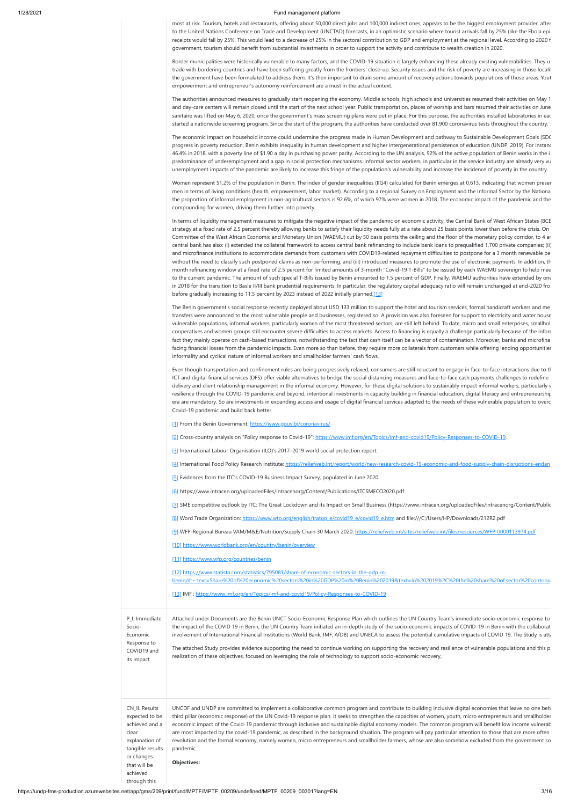https://undp-fms-production.azurewebsites.net/app/gms/209/print/fund/MPTF/MPTF\_00209/undefined/MPTF\_00209\_00301?lang=EN 3/16

most at risk. Tourism, hotels and restaurants, offering about 50,000 direct jobs and 100,000 indirect ones, appears to be the biggest employment provider, after to the United Nations Conference on Trade and Development (UNCTAD) forecasts, in an optimistic scenario where tourist arrivals fall by 25% (like the Ebola epi receipts would fall by 25%. This would lead to a decrease of 25% in the sectoral contribution to GDP and employment at the regional level. According to 2020 f government, tourism should benefit from substantial investments in order to support the activity and contribute to wealth creation in 2020.

Border municipalities were historically vulnerable to many factors, and the COVID-19 situation is largely enhancing these already existing vulnerabilities. They u trade with bordering countries and have been suffering greatly from the frontiers' close-up. Security issues and the risk of poverty are increasing in those localit the government have been formulated to address them. It's then important to drain some amount of recovery actions towards populations of those areas. Yout empowerment and entrepreneur's autonomy reinforcement are a must in the actual context.

In terms of liquidity management measures to mitigate the negative impact of the pandemic on economic activity, the Central Bank of West African States (BCE strategy at a fixed rate of 2.5 percent thereby allowing banks to satisfy their liquidity needs fully at a rate about 25 basis points lower than before the crisis. On Committee of the West African Economic and Monetary Union (WAEMU) cut by 50 basis points the ceiling and the floor of the monetary policy corridor, to 4 an central bank has also: (i) extended the collateral framework to access central bank refinancing to include bank loans to prequalified 1,700 private companies; (ii) and microfinance institutions to accommodate demands from customers with COVID19-related repayment difficulties to postpone for a 3 month renewable pe without the need to classify such postponed claims as non-performing; and (iii) introduced measures to promote the use of electronic payments. In addition, th month refinancing window at a fixed rate of 2.5 percent for limited amounts of 3-month "Covid-19 T-Bills" to be issued by each WAEMU sovereign to help mee to the current pandemic. The amount of such special T-Bills issued by Benin amounted to 1.5 percent of GDP. Finally, WAEMU authorities have extended by one in 2018 for the transition to Basle II/III bank prudential requirements. In particular, the regulatory capital adequacy ratio will remain unchanged at end-2020 fro before gradually increasing to 11.5 percent by 2023 instead of 2022 initially planned.[13]

The authorities announced measures to gradually start reopening the economy. Middle schools, high schools and universities resumed their activities on May 1 and day-care centers will remain closed until the start of the next school year. Public transportation, places of worship and bars resumed their activities on June sanitaire was lifted on May 6, 2020, once the government's mass screening plans were put in place. For this purpose, the authorities installed laboratories in eac started a nationwide screening program. Since the start of the program, the authorities have conducted over 81,900 coronavirus tests throughout the country.

The economic impact on household income could undermine the progress made in Human Development and pathway to Sustainable Development Goals (SDG progress in poverty reduction, Benin exhibits inequality in human development and higher intergenerational persistence of education (UNDP, 2019). For instanc 46.4% in 2018, with a poverty line of \$1.90 a day in purchasing power parity. According to the UN analysis, 92% of the active population of Benin works in the i predominance of underemployment and a gap in social protection mechanisms. Informal sector workers, in particular in the service industry are already very vu unemployment impacts of the pandemic are likely to increase this fringe of the population's vulnerability and increase the incidence of poverty in the country.

Women represent 51.2% of the population in Benin. The index of gender inequalities (IIG4) calculated for Benin emerges at 0.613, indicating that women presen men in terms of living conditions (health, empowerment, labor market). According to a regional Survey on Employment and the Informal Sector by the Nationa the proportion of informal employment in non-agricultural sectors is 92.6%, of which 97% were women in 2018. The economic impact of the pandemic and the compounding for women, driving them further into poverty.

The Benin government's social response recently deployed about USD 133 million to support the hotel and tourism services, formal handicraft workers and me transfers were announced to the most vulnerable people and businesses, registered so. A provision was also foreseen for support to electricity and water house vulnerable populations, informal workers, particularly women of the most threatened sectors, are still left behind. To date, micro and small enterprises, smallhol cooperatives and women groups still encounter severe difficulties to access markets. Access to financing is equally a challenge particularly because of the inform fact they mainly operate on cash-based transactions, notwithstanding the fact that cash itself can be a vector of contamination. Moreover, banks and microfina facing financial losses from the pandemic impacts. Even more so than before, they require more collaterals from customers while offering lending opportunities informality and cyclical nature of informal workers and smallholder farmers' cash flows.

Even though transportation and confinement rules are being progressively relaxed, consumers are still reluctant to engage in face-to-face interactions due to th ICT and digital financial services (DFS) offer viable alternatives to bridge the social distancing measures and face-to-face cash payments challenges to redefine delivery and client relationship management in the informal economy. However, for these digital solutions to sustainably impact informal workers, particularly v resilience through the COVID-19 pandemic and beyond, intentional investments in capacity building in financial education, digital literacy and entrepreneurship era are mandatory. So are investments in expanding access and usage of digital financial services adapted to the needs of these vulnerable population to overc Covid-19 pandemic and build back better.

[1] From the Benin Government: <https://www.gouv.bj/coronavirus/>

[2] Cross-country analysis on "Policy response to Covid-19": [https://www.imf.org/en/Topics/imf-and-covid19/Policy-Responses-to-COVID-19.](https://www.imf.org/en/Topics/imf-and-covid19/Policy-Responses-to-COVID-19)

[3] International Labour Organisation (ILO)'s 2017–2019 world social protection report.

[4] International Food Policy Research Institute: [https://reliefweb.int/report/world/new-research-covid-19-economic-and-food-supply-chain-disruptions-endan](https://reliefweb.int/report/world/new-research-covid-19-economic-and-food-supply-chain-disruptions-endanger-global-food)

[5] Evidences from the ITC's COVID-19 Business Impact Survey, populated in June 2020.

[6] https://www.intracen.org/uploadedFiles/intracenorg/Content/Publications/ITCSMECO2020.pdf

[7] SME competitive outlook by ITC: The Great Lockdown and its Impact on Small Business (https://www.intracen.org/uploadedFiles/intracenorg/Content/Public

[8] Word Trade Organization: [https://www.wto.org/english/tratop\\_e/covid19\\_e/covid19\\_e.htm](https://www.wto.org/english/tratop_e/covid19_e/covid19_e.htm) and file:///C:/Users/HP/Downloads/212R2.pdf

[9] WFP-Regional Bureau VAM/M&E/Nutrition/Supply Chain 30 March 2020:<https://reliefweb.int/sites/reliefweb.int/files/resources/WFP-0000113974.pdf>

[10] <https://www.worldbank.org/en/country/benin/overview>

[11] <https://www.wfp.org/countries/benin>

[12] https://www.statista.com/statistics/795081/share-of-economic-sectors-in-the-gdp-in-

[benin/#:~:text=Share%20of%20economic%20sectors%20in%20GDP%20in%20Benin%202019&text=In%202019%2C%20the%20share%20of,sector%20contribu](https://www.statista.com/statistics/795081/share-of-economic-sectors-in-the-gdp-in-benin/#:~:text=Share%20of%20economic%20sectors%20in%20GDP%20in%20Benin%202019&text=In%202019%2C%20the%20share%20of,sector%20contributed%20about%2048.03%20percent.)

[13] IMF : <https://www.imf.org/en/Topics/imf-and-covid19/Policy-Responses-to-COVID-19>

Socio-

P\_I. Immediate Economic Response to COVID19 and its impact Attached under Documents are the Benin UNCT Socio-Economic Response Plan which outlines the UN Country Team's immediate socio-economic response to the impact of the COVID 19 in Benin, the UN Country Team initiated an in-depth study of the socio-economic impacts of COVID-19 in Benin with the collaborat involvement of International Financial Institutions (World Bank, IMF, AfDB) and UNECA to assess the potential cumulative impacts of COVID 19. The Study is att The attached Study provides evidence supporting the need to continue working on supporting the recovery and resilience of vulnerable populations and this p realization of these objectives, focused on leveraging the role of technology to support socio-economic recovery,

clear

or changes

that will be achieved through this

CN\_II. Results expected to be achieved and a explanation of tangible results UNCDF and UNDP are committed to implement a collaborative common program and contribute to building inclusive digital economies that leave no one beh third pillar (economic response) of the UN Covid-19 response plan. It seeks to strengthen the capacities of women, youth, micro entrepreneurs and smallholder economic impact of the Covid-19 pandemic through inclusive and sustainable digital economy models. The common program will benefit low income vulnerab are most impacted by the covid-19 pandemic, as described in the background situation. The program will pay particular attention to those that are more often revolution and the formal economy, namely women, micro entrepreneurs and smallholder farmers, whose are also somehow excluded from the government so pandemic.

**Objectives:**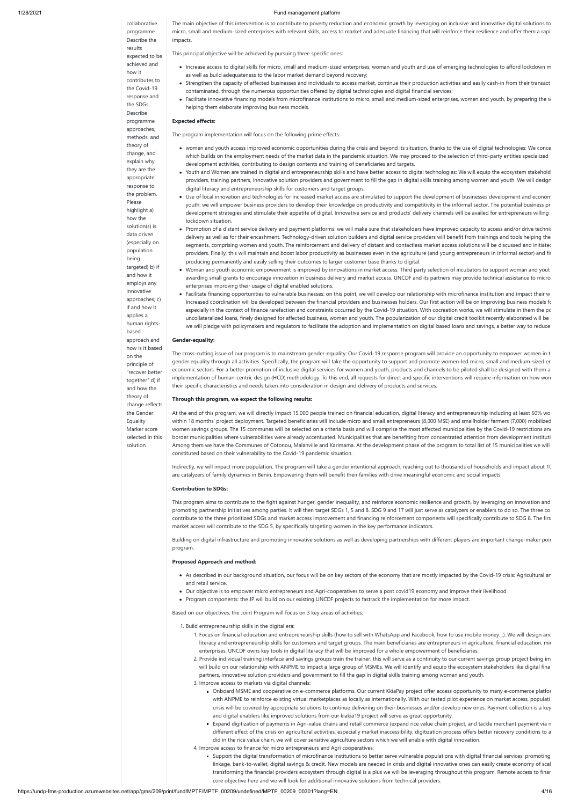### collaborative programme Describe the results expected to be achieved and how it contributes to the Covid-19 response and the SDGs. Describe programme approaches, methods, and theory of change, and explain why they are the appropriate response to the problem. Please highlight a) how the solution(s) is data driven (especially on population being targeted) b) if and how it employs any innovative approaches; c) if and how it applies a human rightsbased approach and how is it based on the principle of "recover better together" d) if and how the theory of change reflects the Gender Equality Marker score selected in this solution

The main objective of this intervention is to contribute to poverty reduction and economic growth by leveraging on inclusive and innovative digital solutions to micro, small and medium-sized enterprises with relevant skills, access to market and adequate financing that will reinforce their resilience and offer them a rapi impacts.

This principal objective will be achieved by pursuing three specific ones:

- Increase access to digital skills for micro, small and medium-sized enterprises, woman and youth and use of emerging technologies to afford lockdown m as well as build adequateness to the labor market demand beyond recovery;
- Strengthen the capacity of affected businesses and individuals to access market, continue their production activities and easily cash-in from their transact contaminated, through the numerous opportunities offered by digital technologies and digital financial services;
- Facilitate innovative financing models from microfinance institutions to micro, small and medium-sized enterprises, women and youth, by preparing the w helping them elaborate improving business models.

### **Expected effects:**

The program implementation will focus on the following prime effects:

- women and youth access improved economic opportunities during the crisis and beyond its situation, thanks to the use of digital technologies: We conce which builds on the employment needs of the market data in the pandemic situation. We may proceed to the selection of third-party entities specialized development activities, contributing to design contents and training of beneficiaries and targets.
- Youth and Women are trained in digital and entrepreneurship skills and have better access to digital technologies: We will equip the ecosystem stakehold providers, training partners, innovative solution providers and government to fill the gap in digital skills training among women and youth. We will desigr digital literacy and entrepreneurship skills for customers and target groups.
- Use of local innovation and technologies for increased market access are stimulated to support the development of businesses development and econom youth: we will empower business providers to develop their knowledge on productivity and competitivity in the informal sector. The potential business pr development strategies and stimulate their appetite of digital. Innovative service and products' delivery channels will be availed for entrepreneurs willing lockdown situation.
- Promotion of a distant service delivery and payment platforms: we will make sure that stakeholders have improved capacity to access and/or drive technic delivery as well as for their encashment. Technology-driven solution builders and digital service providers will benefit from trainings and tools helping the segments, comprising women and youth. The reinforcement and delivery of distant and contactless market access solutions will be discussed and initiated providers. Finally, this will maintain and boost labor productivity as businesses even in the agriculture (and young entrepreneurs in informal sector) and fis producing permanently and easily selling their outcomes to larger customer base thanks to digital.
- Woman and youth economic empowerment is improved by innovations in market access: Third party selection of incubators to support woman and yout awarding small grants to encourage innovation in business delivery and market access. UNCDF and its partners may provide technical assistance to micro enterprises improving their usage of digital enabled solutions.
- Facilitate financing opportunities to vulnerable businesses: on this point, we will develop our relationship with microfinance institution and impact their w Increased coordination will be developed between the financial providers and businesses holders. Our first action will be on improving business models fo especially in the context of finance rarefaction and constraints occurred by the Covid-19 situation. With cocreation works, we will stimulate in them the pc uncollateralized loans, finely designed for affected business, women and youth. The popularization of our digital credit toolkit recently elaborated will be we will pledge with policymakers and regulators to facilitate the adoption and implementation on digital based loans and savings, a better way to reduce

- 1. Focus on financial education and entrepreneurship skills (how to sell with WhatsApp and Facebook, how to use mobile money…). We will design and literacy and entrepreneurship skills for customers and target groups. The main beneficiaries are entrepreneurs in agriculture, financial education, mic enterprises. UNCDF owns key tools in digital literacy that will be improved for a whole empowerment of beneficiaries.
- 2. Provide individual training interface and savings groups train the trainer: this will serve as a continuity to our current savings group project being im will build on our relationship with ANPME to impact a large group of MSMEs. We will identify and equip the ecosystem stakeholders like digital fina partners, innovative solution providers and government to fill the gap in digital skills training among women and youth.
- 3. Improve access to markets via digital channels:
	- Onboard MSME and cooperative on e-commerce platforms. Our current KkiaPay project offer access opportunity to many e-commerce platfor with ANPME to reinforce existing virtual marketplaces as locally as internationally. With our tested pilot experience on market access, populati crisis will be covered by appropriate solutions to continue delivering on their businesses and/or develop new ones. Payment collection is a key and digital enablers like improved solutions from our kiakia19 project will serve as great opportunity.
	- Expand digitization of payments in Agri-value chains and retail commerce (expand rice value chain project, and tackle merchant payment via m different effect of the crisis on agricultural activities, especially market inaccessibility, digitization process offers better recovery conditions to a did in the rice value chain, we will cover sensitive agriculture sectors which we will enable with digital innovation.

#### **Gender-equality:**

The cross-cutting issue of our program is to mainstream gender-equality: Our Covid-19 response program will provide an opportunity to empower women in t gender equality through all activities. Specifically, the program will take the opportunity to support and promote women-led micro, small and medium-sized en economic sectors. For a better promotion of inclusive digital services for women and youth, products and channels to be piloted shall be designed with them a implementation of human-centric design (HCD) methodology. To this end, all requests for direct and specific interventions will require information on how wom their specific characteristics and needs taken into consideration in design and delivery of products and services.

#### **Through this program, we expect the following results:**

At the end of this program, we will directly impact 15,000 people trained on financial education, digital literacy and entrepreneurship including at least 60% wo within 18 months' project deployment. Targeted beneficiaries will include micro and small entrepreneurs (8,000 MSE) and smallholder farmers (7,000) mobilized women savings groups. The 15 communes will be selected on a criteria basis and will comprise the most affected municipalities by the Covid-19 restrictions and border municipalities where vulnerabilities were already accentuated. Municipalities that are benefiting from concentrated attention from development instituti Among them we have the Communes of Cotonou, Malanville and Karimama. At the development phase of the program to total list of 15 municipalities we will constituted based on their vulnerability to the Covid-19 pandemic situation.

Indirectly, we will impact more population. The program will take a gender intentional approach, reaching out to thousands of households and impact about 10 are catalyzers of family dynamics in Benin. Empowering them will benefit their families with drive meaningful economic and social impacts.

#### **Contribution to SDGs:**

This program aims to contribute to the fight against hunger, gender inequality, and reinforce economic resilience and growth, by leveraging on innovation and promoting partnership initiatives among parties. It will then target SDGs 1, 5 and 8. SDG 9 and 17 will just serve as catalyzers or enablers to do so. The three co contribute to the three prioritized SDGs and market access improvement and financing reinforcement components will specifically contribute to SDG 8. The firs market access will contribute to the SDG 5, by specifically targeting women in the key performance indicators.

Building on digital infrastructure and promoting innovative solutions as well as developing partnerships with different players are important change-maker poin program.

### **Proposed Approach and method:**

- As described in our background situation, our focus will be on key sectors of the economy that are mostly impacted by the Covid-19 crisis: Agricultural an and retail service.
- Our objective is to empower micro entrepreneurs and Agri-cooperatives to serve a post covid19 economy and improve their livelihood
- Program components: the JP will build on our existing UNCDF projects to fastrack the implementation for more impact.

Based on our objectives, the Joint Program will focus on 3 key areas of activities:

1. Build entrepreneurship skills in the digital era:

4. Improve access to finance for micro entrepreneurs and Agri cooperatives:

Support the digital transformation of microfinance institutions to better serve vulnerable populations with digital financial services: promoting linkage, bank-to-wallet, digital savings & credit. New models are needed in crisis and digital innovative ones can easily create economy of scal transforming the financial providers ecosystem through digital is a plus we will be leveraging throughout this program. Remote access to finan core objective here and we will look for additional innovative solutions from technical providers.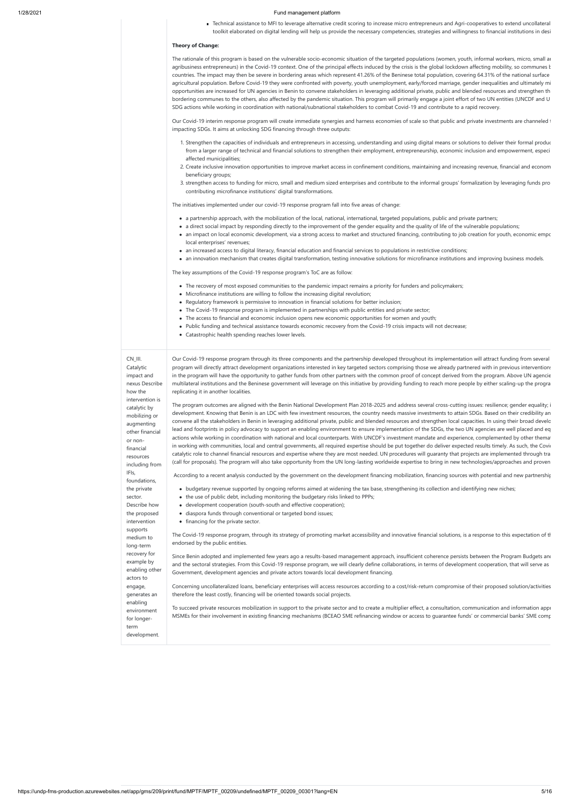Technical assistance to MFI to leverage alternative credit scoring to increase micro entrepreneurs and Agri-cooperatives to extend uncollateral toolkit elaborated on digital lending will help us provide the necessary competencies, strategies and willingness to financial institutions in desi

### **Theory of Change:**

The rationale of this program is based on the vulnerable socio-economic situation of the targeted populations (women, youth, informal workers, micro, small and agribusiness entrepreneurs) in the Covid-19 context. One of the principal effects induced by the crisis is the global lockdown affecting mobility, so communes  $k$ countries. The impact may then be severe in bordering areas which represent 41.26% of the Beninese total population, covering 64.31% of the national surface agricultural population. Before Covid-19 they were confronted with poverty, youth unemployment, early/forced marriage, gender inequalities and ultimately mi opportunities are increased for UN agencies in Benin to convene stakeholders in leveraging additional private, public and blended resources and strengthen th bordering communes to the others, also affected by the pandemic situation. This program will primarily engage a joint effort of two UN entities (UNCDF and U SDG actions while working in coordination with national/subnational stakeholders to combat Covid-19 and contribute to a rapid recovery.

Our Covid-19 interim response program will create immediate synergies and harness economies of scale so that public and private investments are channeled t impacting SDGs. It aims at unlocking SDG financing through three outputs:

- 1. Strengthen the capacities of individuals and entrepreneurs in accessing, understanding and using digital means or solutions to deliver their formal produc from a larger range of technical and financial solutions to strengthen their employment, entrepreneurship, economic inclusion and empowerment, especi affected municipalities;
- 2. Create inclusive innovation opportunities to improve market access in confinement conditions, maintaining and increasing revenue, financial and econom beneficiary groups;
- 3. strengthen access to funding for micro, small and medium sized enterprises and contribute to the informal groups' formalization by leveraging funds pro contributing microfinance institutions' digital transformations.

The initiatives implemented under our covid-19 response program fall into five areas of change:

- a partnership approach, with the mobilization of the local, national, international, targeted populations, public and private partners;
- a direct social impact by responding directly to the improvement of the gender equality and the quality of life of the vulnerable populations;
- an impact on local economic development, via a strong access to market and structured financing, contributing to job creation for youth, economic empc local enterprises' revenues;
- an increased access to digital literacy, financial education and financial services to populations in restrictive conditions;
- an innovation mechanism that creates digital transformation, testing innovative solutions for microfinance institutions and improving business models.

- budgetary revenue supported by ongoing reforms aimed at widening the tax base, strengthening its collection and identifying new niches;
- the use of public debt, including monitoring the budgetary risks linked to PPPs;
- development cooperation (south-south and effective cooperation);
- diaspora funds through conventional or targeted bond issues;
- financing for the private sector.

The key assumptions of the Covid-19 response program's ToC are as follow:

- The recovery of most exposed communities to the pandemic impact remains a priority for funders and policymakers;
- Microfinance institutions are willing to follow the increasing digital revolution;
- Regulatory framework is permissive to innovation in financial solutions for better inclusion:
- The Covid-19 response program is implemented in partnerships with public entities and private sector;
- The access to financial and economic inclusion opens new economic opportunities for women and youth;
- Public funding and technical assistance towards economic recovery from the Covid-19 crisis impacts will not decrease;
- Catastrophic health spending reaches lower levels.

Since Benin adopted and implemented few years ago a results-based management approach, insufficient coherence persists between the Program Budgets and and the sectoral strategies. From this Covid-19 response program, we will clearly define collaborations, in terms of development cooperation, that will serve as Government, development agencies and private actors towards local development financing.

CN\_III. Catalytic impact and nexus Describe how the intervention is catalytic by mobilizing or augmenting other financial or nonfinancial resources including from IFIs, foundations, the private sector. Describe how the proposed intervention supports medium to long-term recovery for example by enabling other actors to engage, generates an

enabling

Our Covid-19 response program through its three components and the partnership developed throughout its implementation will attract funding from several program will directly attract development organizations interested in key targeted sectors comprising those we already partnered with in previous interventions in the program will have the opportunity to gather funds from other partners with the common proof of concept derived from the program. Above UN agencie multilateral institutions and the Beninese government will leverage on this initiative by providing funding to reach more people by either scaling-up the progra replicating it in another localities.

The program outcomes are aligned with the Benin National Development Plan 2018-2025 and address several cross-cutting issues: resilience; gender equality; i development. Knowing that Benin is an LDC with few investment resources, the country needs massive investments to attain SDGs. Based on their credibility an convene all the stakeholders in Benin in leveraging additional private, public and blended resources and strengthen local capacities. In using their broad develo lead and footprints in policy advocacy to support an enabling environment to ensure implementation of the SDGs, the two UN agencies are well placed and eq actions while working in coordination with national and local counterparts. With UNCDF's investment mandate and experience, complemented by other themat in working with communities, local and central governments, all required expertise should be put together do deliver expected results timely. As such, the Covid catalytic role to channel financial resources and expertise where they are most needed. UN procedures will guaranty that projects are implemented through tra (call for proposals). The program will also take opportunity from the UN long-lasting worldwide expertise to bring in new technologies/approaches and proven

environment for longerterm development. To succeed private resources mobilization in support to the private sector and to create a multiplier effect, a consultation, communication and information appi MSMEs for their involvement in existing financing mechanisms (BCEAO SME refinancing window or access to guarantee funds' or commercial banks' SME comp

According to a recent analysis conducted by the government on the development financing mobilization, financing sources with potential and new partnership

The Covid-19 response program, through its strategy of promoting market accessibility and innovative financial solutions, is a response to this expectation of th endorsed by the public entities.

Concerning uncollateralized loans, beneficiary enterprises will access resources according to a cost/risk-return compromise of their proposed solution/activities therefore the least costly, financing will be oriented towards social projects.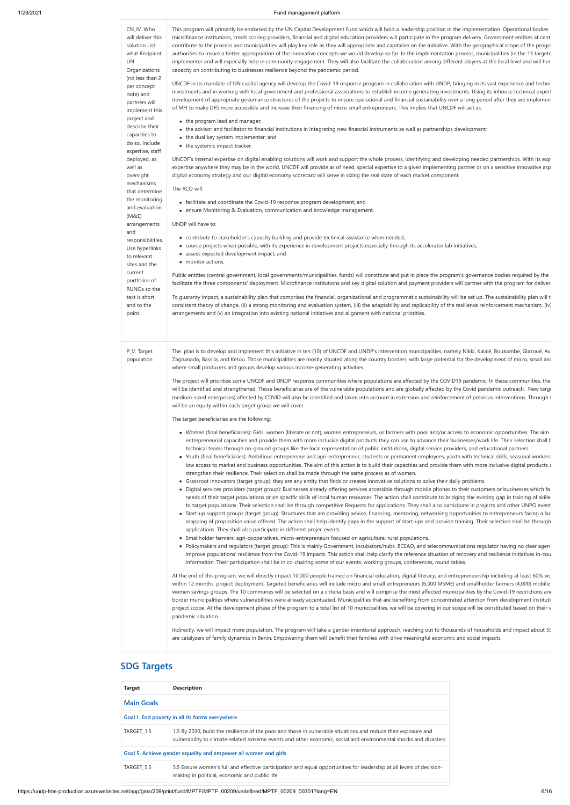| CN_IV. Who<br>will deliver this<br>solution List<br>what Recipient<br>UN<br>Organizations<br>(no less than 2<br>per concept<br>note) and<br>partners will<br>implement this<br>project and<br>describe their<br>capacities to<br>do so. Include<br>expertise, staff<br>deployed, as<br>well as<br>oversight<br>mechanisms<br>that determine<br>the monitoring<br>and evaluation<br>(M&E)<br>arrangements<br>and<br>responsibilities.<br>Use hyperlinks<br>to relevant<br>sites and the<br>current<br>portfolios of<br>RUNOs so the | This program will primarily be endorsed by the UN Capital Development Fund which will hold a leadership position in the implementation. Operational bodies<br>microfinance institutions, credit scoring providers, financial and digital education providers will participate in the program delivery. Government entities at cent<br>contribute to the process and municipalities will play key role as they will appropriate and capitalize on the initiative. With the geographical scope of the progra<br>authorities to insure a better appropriation of the innovative concepts we would develop so far. In the implementation process, municipalities (in the 15 targete<br>implementer and will especially help in community engagement. They will also facilitate the collaboration among different players at the local level and will her<br>capacity on contributing to businesses resilience beyond the pandemic period.<br>UNCDF in its mandate of UN capital agency will develop the Covid-19 response program in collaboration with UNDP, bringing in its vast experience and techni<br>investments and in working with local government and professional associations to establish income generating investments. Using its inhouse technical expert<br>development of appropriate governance structures of the projects to ensure operational and financial sustainability over a long period after they are implemen<br>of MFI to make DFS more accessible and increase their financing of micro small entrepreneurs. This implies that UNCDF will act as:<br>• the program lead and manager;<br>• the advisor and facilitator to financial institutions in integrating new financial instruments as well as partnerships development;<br>• the dual key system implementer; and<br>• the systemic impact tracker.<br>UNCDF's internal expertise on digital enabling solutions will work and support the whole process, identifying and developing needed partnerships. With its exp<br>expertise anywhere they may be in the world, UNCDF will provide as of need, special expertise to a given implementing partner or on a sensitive innovative asp<br>digital economy strategy and our digital economy scorecard will serve in sizing the real state of each market component.<br>The RCO will:<br>• facilitate and coordinate the Covid-19 response program development; and<br>• ensure Monitoring & Evaluation, communication and knowledge management.<br>UNDP will have to:<br>• contribute to stakeholder's capacity building and provide technical assistance when needed;<br>• source projects when possible, with its experience in development projects especially through its accelerator lab initiatives;<br>• assess expected development impact; and<br>• monitor actions.<br>Public entities (central government, local governments/municipalities, funds) will constitute and put in place the program's governance bodies required by the<br>facilitate the three components' deployment. Microfinance institutions and key digital solution and payment providers will partner with the program for deliver                                                                                                                                                                                                                                                                                                                                                                                                                                                                                                                                                                                                                                                                                                                                                                                                                                                                                                                                                                                                                                                                                                   |
|------------------------------------------------------------------------------------------------------------------------------------------------------------------------------------------------------------------------------------------------------------------------------------------------------------------------------------------------------------------------------------------------------------------------------------------------------------------------------------------------------------------------------------|--------------------------------------------------------------------------------------------------------------------------------------------------------------------------------------------------------------------------------------------------------------------------------------------------------------------------------------------------------------------------------------------------------------------------------------------------------------------------------------------------------------------------------------------------------------------------------------------------------------------------------------------------------------------------------------------------------------------------------------------------------------------------------------------------------------------------------------------------------------------------------------------------------------------------------------------------------------------------------------------------------------------------------------------------------------------------------------------------------------------------------------------------------------------------------------------------------------------------------------------------------------------------------------------------------------------------------------------------------------------------------------------------------------------------------------------------------------------------------------------------------------------------------------------------------------------------------------------------------------------------------------------------------------------------------------------------------------------------------------------------------------------------------------------------------------------------------------------------------------------------------------------------------------------------------------------------------------------------------------------------------------------------------------------------------------------------------------------------------------------------------------------------------------------------------------------------------------------------------------------------------------------------------------------------------------------------------------------------------------------------------------------------------------------------------------------------------------------------------------------------------------------------------------------------------------------------------------------------------------------------------------------------------------------------------------------------------------------------------------------------------------------------------------------------------------------------------------------------------------------------------------------------------------------------------------------------------------------------------------------------------------------------------------------------------------------------------------------------------------------------------------------------------------------------------------------------------------------------------------------------------------------------------------------------------------------------------------------------------------------------------------------------------------------------------------------------------------------------------------------------------------------------------------------------------------------------------------------------------------------------------------------------------------------------------------------------------------------------------------------------------------------------------------------------------------------------------------------------------------------------------------------------------------------------------------------------------------------------------------------------------------------------------------------------------------------------------------------------------------------------------------------------------------------------------------------------------------------------------------------------------|
| text is short<br>and to the<br>point.                                                                                                                                                                                                                                                                                                                                                                                                                                                                                              | To guaranty impact, a sustainability plan that comprises the financial, organizational and programmatic sustainability will be set up. The sustainability plan will t<br>consistent theory of change, (ii) a strong monitoring and evaluation system, (iii) the adaptability and replicability of the resilience reinforcement mechanism, (iv)<br>arrangements and (v) an integration into existing national initiatives and alignment with national priorities.                                                                                                                                                                                                                                                                                                                                                                                                                                                                                                                                                                                                                                                                                                                                                                                                                                                                                                                                                                                                                                                                                                                                                                                                                                                                                                                                                                                                                                                                                                                                                                                                                                                                                                                                                                                                                                                                                                                                                                                                                                                                                                                                                                                                                                                                                                                                                                                                                                                                                                                                                                                                                                                                                                                                                                                                                                                                                                                                                                                                                                                                                                                                                                                                                                                                                                                                                                                                                                                                                                                                                                                                                                                                                                                                                                                       |
| P_V. Target<br>population                                                                                                                                                                                                                                                                                                                                                                                                                                                                                                          | The plan is to develop and implement this initiative in ten (10) of UNCDF and UNDP's intervention municipalities, namely Nikki, Kalalé, Boukombe, Glazoué, Av<br>Zagnanado, Bassila, and Ketou. Those municipalities are mostly situated along the country borders, with large potential for the development of micro, small and<br>where small producers and groups develop various income-generating activities.<br>The project will prioritize some UNCDF and UNDP response communities where populations are affected by the COVID19 pandemic. In these communities, the<br>will be identified and strengthened. Those beneficiaries are of the vulnerable populations and are globally affected by the Covid pandemic outreach. New targe<br>medium-sized enterprises) affected by COVID will also be identified and taken into account in extension and reinforcement of previous interventions. Through t<br>will be an equity within each target group we will cover.<br>The target beneficiaries are the following:<br>• Women (final beneficiaries): Girls, women (literate or not), women entrepreneurs, or farmers with poor and/or access to economic opportunities. The aim<br>entrepreneurial capacities and provide them with more inclusive digital products they can use to advance their businesses/work life. Their selection shall t<br>technical teams through on-ground groups like the local representation of public institutions, digital service providers, and educational partners.<br>• Youth (final beneficiaries): Ambitious entrepreneur and agri-entrepreneur, students or permanent employees, youth with technical skills, seasonal workers<br>low access to market and business opportunities. The aim of this action is to build their capacities and provide them with more inclusive digital products a<br>strengthen their resilience. Their selection shall be made through the same process as of women.<br>• Grassroot innovators (target group): they are any entity that finds or creates innovative solutions to solve their daily problems.<br>• Digital services providers (target group): Businesses already offering services accessible through mobile phones to their customers or businesses which fa<br>needs of their target populations or on specific skills of local human resources. The action shall contribute to bridging the existing gap in training of skille<br>to target populations. Their selection shall be through competitive Requests for applications. They shall also participate in projects and other UNPO event<br>• Start-up support groups (target group): Structures that are providing advice, financing, mentoring, networking opportunities to entrepreneurs facing a lac<br>mapping of proposition value offered. The action shall help identify gaps in the support of start-ups and provide training. Their selection shall be through<br>applications. They shall also participate in different projec events.<br>• Smallholder farmers: agri-cooperatives, micro-entrepreneurs focused on agriculture, rural populations.<br>• Policymakers and regulators (target group): This is mainly Government, incubators/hubs, BCEAO, and telecommunications regulator having no clear agen<br>improve populations' resilience from the Covid-19 impacts. This action shall help clarify the reference situation of recovery and resilience initiatives in-cou<br>information. Their participation shall be in co-chairing some of our events: working groups, conferences, round tables.<br>At the end of this program, we will directly impact 10,000 people trained on financial education, digital literacy, and entrepreneurship including at least 60% wo<br>within 12 months' project deployment. Targeted beneficiaries will include micro and small entrepreneurs (6,000 MSME) and smallholder farmers (4,000) mobiliz<br>women savings groups. The 10 communes will be selected on a criteria basis and will comprise the most affected municipalities by the Covid-19 restrictions and<br>border municipalities where vulnerabilities were already accentuated. Municipalities that are benefiting from concentrated attention from development instituti |

project scope. At the development phase of the program to a total list of 10 municipalities, we will be covering in our scope will be constituted based on their v pandemic situation.

Indirectly, we will impact more population. The program will take a gender intentional approach, reaching out to thousands of households and impact about 50 are catalyzers of family dynamics in Benin. Empowering them will benefit their families with drive meaningful economic and social impacts.

### **SDG Targets**

| <b>Target</b>     | <b>Description</b>                                                                                                                                                                                                                  |
|-------------------|-------------------------------------------------------------------------------------------------------------------------------------------------------------------------------------------------------------------------------------|
| <b>Main Goals</b> |                                                                                                                                                                                                                                     |
|                   | Goal 1. End poverty in all its forms everywhere                                                                                                                                                                                     |
| TARGET 1.5        | 1.5 By 2030, build the resilience of the poor and those in vulnerable situations and reduce their exposure and<br>vulnerability to climate-related extreme events and other economic, social and environmental shocks and disasters |
|                   | Goal 5. Achieve gender equality and empower all women and girls                                                                                                                                                                     |
| TARGET 5.5        | 5.5 Ensure women's full and effective participation and equal opportunities for leadership at all levels of decision-<br>making in political, economic and public life                                                              |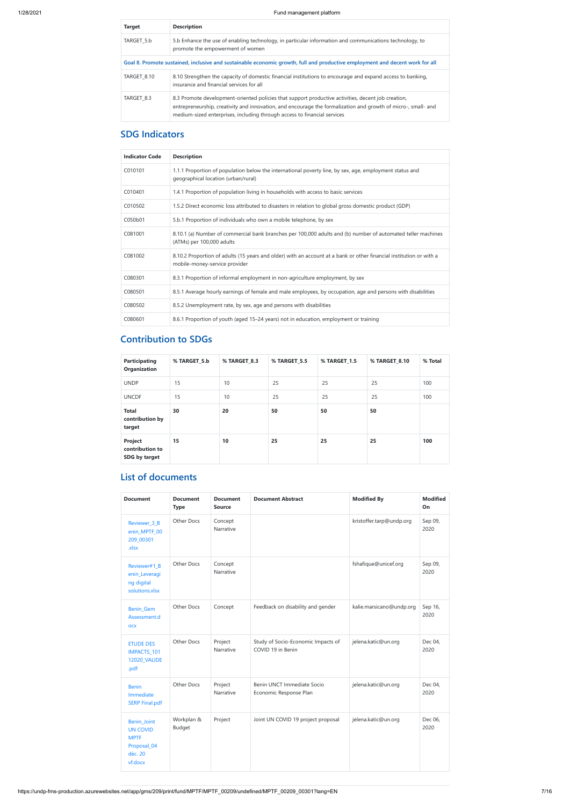| <b>Target</b>                                                                                                                | <b>Description</b>                                                                                                                                                                                                                                                                              |  |  |  |
|------------------------------------------------------------------------------------------------------------------------------|-------------------------------------------------------------------------------------------------------------------------------------------------------------------------------------------------------------------------------------------------------------------------------------------------|--|--|--|
| TARGET 5.b                                                                                                                   | 5.b Enhance the use of enabling technology, in particular information and communications technology, to<br>promote the empowerment of women                                                                                                                                                     |  |  |  |
| Goal 8. Promote sustained, inclusive and sustainable economic growth, full and productive employment and decent work for all |                                                                                                                                                                                                                                                                                                 |  |  |  |
| TARGET 8.10                                                                                                                  | 8.10 Strengthen the capacity of domestic financial institutions to encourage and expand access to banking,<br>insurance and financial services for all                                                                                                                                          |  |  |  |
| TARGET 8.3                                                                                                                   | 8.3 Promote development-oriented policies that support productive activities, decent job creation,<br>entrepreneurship, creativity and innovation, and encourage the formalization and growth of micro-, small- and<br>medium-sized enterprises, including through access to financial services |  |  |  |

# **SDG Indicators**

| <b>Indicator Code</b> | <b>Description</b>                                                                                                                                   |
|-----------------------|------------------------------------------------------------------------------------------------------------------------------------------------------|
| C010101               | 1.1.1 Proportion of population below the international poverty line, by sex, age, employment status and<br>geographical location (urban/rural)       |
| C010401               | 1.4.1 Proportion of population living in households with access to basic services                                                                    |
| C010502               | 1.5.2 Direct economic loss attributed to disasters in relation to global gross domestic product (GDP)                                                |
| C050b01               | 5.b.1 Proportion of individuals who own a mobile telephone, by sex                                                                                   |
| C081001               | 8.10.1 (a) Number of commercial bank branches per 100,000 adults and (b) number of automated teller machines<br>(ATMs) per 100,000 adults            |
| C081002               | 8.10.2 Proportion of adults (15 years and older) with an account at a bank or other financial institution or with a<br>mobile-money-service provider |
| C080301               | 8.3.1 Proportion of informal employment in non-agriculture employment, by sex                                                                        |
| C080501               | 8.5.1 Average hourly earnings of female and male employees, by occupation, age and persons with disabilities                                         |
| C080502               | 8.5.2 Unemployment rate, by sex, age and persons with disabilities                                                                                   |
| C080601               | 8.6.1 Proportion of youth (aged 15–24 years) not in education, employment or training                                                                |

### **Contribution to SDGs**

| <b>Participating</b><br>Organization        | % TARGET 5.b | % TARGET 8.3 | % TARGET 5.5 | % TARGET 1.5 | % TARGET 8.10 | % Total |
|---------------------------------------------|--------------|--------------|--------------|--------------|---------------|---------|
| <b>UNDP</b>                                 | 15           | 10           | 25           | 25           | 25            | 100     |
| <b>UNCDF</b>                                | 15           | 10           | 25           | 25           | 25            | 100     |
| <b>Total</b><br>contribution by<br>target   | 30           | 20           | 50           | 50           | 50            |         |
| Project<br>contribution to<br>SDG by target | 15           | 10           | 25           | 25           | 25            | 100     |

# **List of documents**

| <b>Document</b>                                                                           | <b>Document</b><br><b>Type</b> | <b>Document</b><br><b>Source</b> | <b>Document Abstract</b>                                | <b>Modified By</b>       | <b>Modified</b><br>On |
|-------------------------------------------------------------------------------------------|--------------------------------|----------------------------------|---------------------------------------------------------|--------------------------|-----------------------|
| Reviewer_3_B<br>enin_MPTF_00<br>209_00301<br>.xlsx                                        | Other Docs                     | Concept<br>Narrative             |                                                         | kristoffer.tarp@undp.org | Sep 09,<br>2020       |
| Reviewer#1_B<br>enin_Leveragi<br>ng digital<br>solutions.xlsx                             | Other Docs                     | Concept<br>Narrative             |                                                         | fshafique@unicef.org     | Sep 09,<br>2020       |
| <b>Benin_Gem</b><br>Assessment.d<br><b>OCX</b>                                            | Other Docs                     | Concept                          | Feedback on disability and gender                       | kalie.marsicano@undp.org | Sep 16,<br>2020       |
| <b>ETUDE DES</b><br>IMPACTS_101<br><b>12020_VALIDE</b><br>.pdf                            | <b>Other Docs</b>              | Project<br>Narrative             | Study of Socio-Economic Impacts of<br>COVID 19 in Benin | jelena.katic@un.org      | Dec 04,<br>2020       |
| <b>Benin</b><br>Immediate<br><b>SERP Final.pdf</b>                                        | <b>Other Docs</b>              | Project<br>Narrative             | Benin UNCT Immediate Socio<br>Economic Response Plan    | jelena.katic@un.org      | Dec 04,<br>2020       |
| <b>Benin_Joint</b><br><b>UN COVID</b><br><b>MPTF</b><br>Proposal_04<br>déc. 20<br>vf.docx | Workplan &<br><b>Budget</b>    | Project                          | Joint UN COVID 19 project proposal                      | jelena.katic@un.org      | Dec 06,<br>2020       |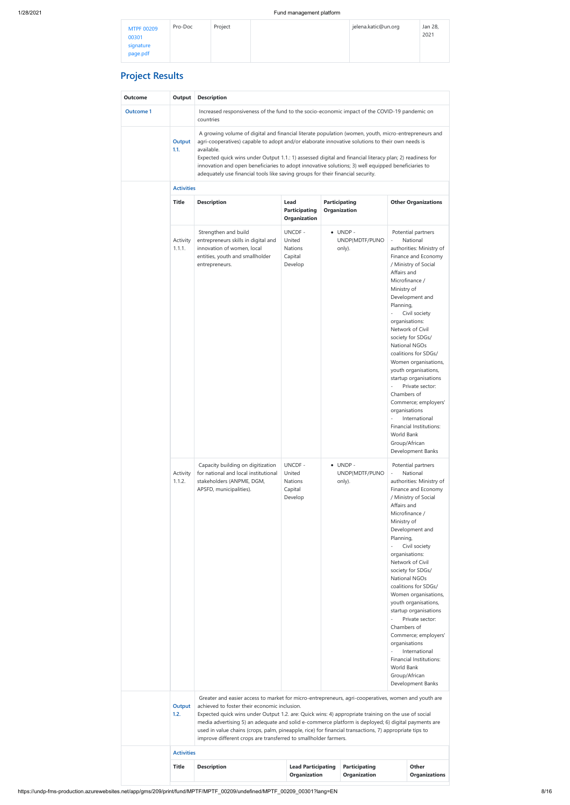https://undp-fms-production.azurewebsites.net/app/gms/209/print/fund/MPTF/MPTF\_00209/undefined/MPTF\_00209\_00301?lang=EN 8/16

# **Project Results**

| Outcome          | Output             | <b>Description</b>                                                                                                                                                                                                                                                                                                                                                                                                                                                                                                                             |                                                                 |                                      |                                              |                                                                                                                                            |                                                                                                                                                                                                                                                                                                                                                                                                                                                                                         |  |  |
|------------------|--------------------|------------------------------------------------------------------------------------------------------------------------------------------------------------------------------------------------------------------------------------------------------------------------------------------------------------------------------------------------------------------------------------------------------------------------------------------------------------------------------------------------------------------------------------------------|-----------------------------------------------------------------|--------------------------------------|----------------------------------------------|--------------------------------------------------------------------------------------------------------------------------------------------|-----------------------------------------------------------------------------------------------------------------------------------------------------------------------------------------------------------------------------------------------------------------------------------------------------------------------------------------------------------------------------------------------------------------------------------------------------------------------------------------|--|--|
| <b>Outcome 1</b> |                    | Increased responsiveness of the fund to the socio-economic impact of the COVID-19 pandemic on<br>countries                                                                                                                                                                                                                                                                                                                                                                                                                                     |                                                                 |                                      |                                              |                                                                                                                                            |                                                                                                                                                                                                                                                                                                                                                                                                                                                                                         |  |  |
|                  | Output<br>1.1.     | A growing volume of digital and financial literate population (women, youth, micro-entrepreneurs and<br>agri-cooperatives) capable to adopt and/or elaborate innovative solutions to their own needs is<br>available.<br>Expected quick wins under Output 1.1.: 1) assessed digital and financial literacy plan; 2) readiness for<br>innovation and open beneficiaries to adopt innovative solutions; 3) well equipped beneficiaries to<br>adequately use financial tools like saving groups for their financial security.                     |                                                                 |                                      |                                              |                                                                                                                                            |                                                                                                                                                                                                                                                                                                                                                                                                                                                                                         |  |  |
|                  | <b>Activities</b>  |                                                                                                                                                                                                                                                                                                                                                                                                                                                                                                                                                |                                                                 |                                      |                                              |                                                                                                                                            |                                                                                                                                                                                                                                                                                                                                                                                                                                                                                         |  |  |
|                  | <b>Title</b>       | <b>Description</b>                                                                                                                                                                                                                                                                                                                                                                                                                                                                                                                             | Lead<br><b>Participating</b><br>Organization                    | <b>Participating</b><br>Organization |                                              |                                                                                                                                            | <b>Other Organizations</b>                                                                                                                                                                                                                                                                                                                                                                                                                                                              |  |  |
|                  | Activity<br>1.1.1. | Strengthen and build<br>entrepreneurs skills in digital and<br>innovation of women, local<br>entities, youth and smallholder<br>entrepreneurs.                                                                                                                                                                                                                                                                                                                                                                                                 | <b>UNCDF-</b><br>United<br><b>Nations</b><br>Capital<br>Develop |                                      | $\bullet$ UNDP -<br>UNDP(MDTF/PUNO<br>only). | $\overline{\phantom{a}}$<br>Affairs and<br>Ministry of<br>Planning,<br>Chambers of<br>organisations<br>$\overline{a}$<br><b>World Bank</b> | Potential partners<br>National<br>authorities: Ministry of<br>Finance and Economy<br>/ Ministry of Social<br>Microfinance /<br>Development and<br>Civil society<br>organisations:<br>Network of Civil<br>society for SDGs/<br><b>National NGOs</b><br>coalitions for SDGs/<br>Women organisations,<br>youth organisations,<br>startup organisations<br>Private sector:<br>Commerce; employers'<br>International<br>Financial Institutions:<br>Group/African<br>Development Banks        |  |  |
|                  | Activity<br>1.1.2. | Capacity building on digitization<br>for national and local institutional<br>stakeholders (ANPME, DGM,<br>APSFD, municipalities).                                                                                                                                                                                                                                                                                                                                                                                                              | UNCDF-<br>United<br><b>Nations</b><br>Capital<br>Develop        | $\bullet$                            | UNDP-<br>UNDP(MDTF/PUNO<br>only).            | Affairs and<br>Ministry of<br>Planning,<br>Chambers of<br>organisations<br>World Bank                                                      | Potential partners<br>National<br>authorities: Ministry of<br>Finance and Economy<br>/ Ministry of Social<br>Microfinance /<br>Development and<br>Civil society<br>organisations:<br>Network of Civil<br>society for SDGs/<br><b>National NGOs</b><br>coalitions for SDGs/<br>Women organisations,<br>youth organisations,<br>startup organisations<br>Private sector:<br>Commerce; employers'<br>International<br><b>Financial Institutions:</b><br>Group/African<br>Development Banks |  |  |
|                  | Output<br>1.2.     | Greater and easier access to market for micro-entrepreneurs, agri-cooperatives, women and youth are<br>achieved to foster their economic inclusion.<br>Expected quick wins under Output 1.2. are: Quick wins: 4) appropriate training on the use of social<br>media advertising 5) an adequate and solid e-commerce platform is deployed; 6) digital payments are<br>used in value chains (crops, palm, pineapple, rice) for financial transactions, 7) appropriate tips to<br>improve different crops are transferred to smallholder farmers. |                                                                 |                                      |                                              |                                                                                                                                            |                                                                                                                                                                                                                                                                                                                                                                                                                                                                                         |  |  |
|                  | <b>Activities</b>  |                                                                                                                                                                                                                                                                                                                                                                                                                                                                                                                                                |                                                                 |                                      |                                              |                                                                                                                                            |                                                                                                                                                                                                                                                                                                                                                                                                                                                                                         |  |  |
|                  | <b>Title</b>       | <b>Description</b>                                                                                                                                                                                                                                                                                                                                                                                                                                                                                                                             | <b>Lead Participating</b><br><b>Organization</b>                |                                      | <b>Participating</b><br>Organization         |                                                                                                                                            | Other<br><b>Organizations</b>                                                                                                                                                                                                                                                                                                                                                                                                                                                           |  |  |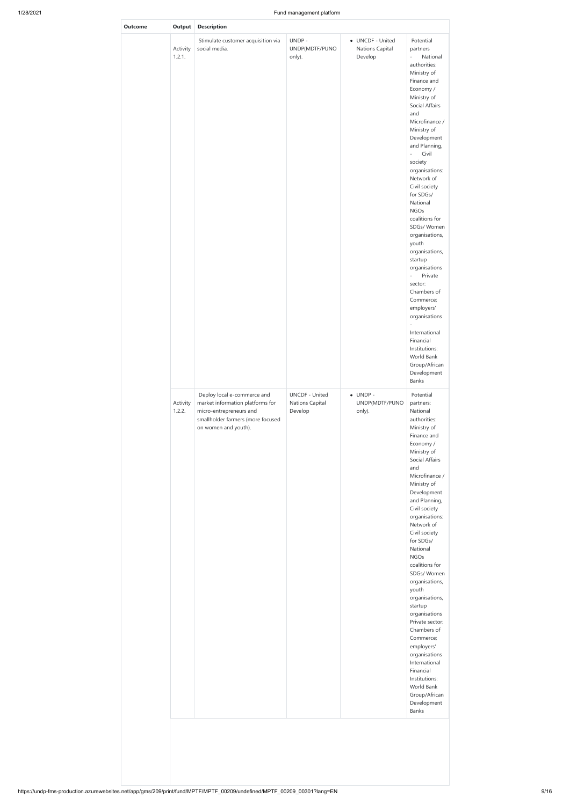**Outcome** 

| Output             | <b>Description</b>                                                                                                                                      |                                                     |                                                |                                                                                                                                                                                                                                                                                                                                                                                                                                                                                                                                                                                                                                                                                          |
|--------------------|---------------------------------------------------------------------------------------------------------------------------------------------------------|-----------------------------------------------------|------------------------------------------------|------------------------------------------------------------------------------------------------------------------------------------------------------------------------------------------------------------------------------------------------------------------------------------------------------------------------------------------------------------------------------------------------------------------------------------------------------------------------------------------------------------------------------------------------------------------------------------------------------------------------------------------------------------------------------------------|
| Activity<br>1.2.1. | Stimulate customer acquisition via<br>social media.                                                                                                     | UNDP-<br>UNDP(MDTF/PUNO<br>only).                   | • UNCDF - United<br>Nations Capital<br>Develop | Potential<br>partners<br>National<br>÷,<br>authorities:<br>Ministry of<br>Finance and<br>Economy /<br>Ministry of<br>Social Affairs<br>and<br>Microfinance /<br>Ministry of<br>Development<br>and Planning,<br>Civil<br>$\overline{\phantom{a}}$<br>society<br>organisations:<br>Network of<br>Civil society<br>for SDGs/<br>National<br><b>NGOs</b><br>coalitions for<br>SDGs/Women<br>organisations,<br>youth<br>organisations,<br>startup<br>organisations<br>$\omega$<br>Private<br>sector:<br>Chambers of<br>Commerce;<br>employers'<br>organisations<br>$\frac{1}{2}$<br>International<br>Financial<br>Institutions:<br>World Bank<br>Group/African<br>Development<br><b>Banks</b> |
| Activity<br>1.2.2. | Deploy local e-commerce and<br>market information platforms for<br>micro-entrepreneurs and<br>smallholder farmers (more focused<br>on women and youth). | <b>UNCDF - United</b><br>Nations Capital<br>Develop | $\bullet$ UNDP -<br>UNDP(MDTF/PUNO<br>only).   | Potential<br>partners:<br>National<br>authorities:<br>Ministry of<br>Finance and<br>Economy /<br>Ministry of<br>Social Affairs<br>and<br>Microfinance /<br>Ministry of<br>Development<br>and Planning,<br>Civil society<br>organisations:<br>Network of<br>Civil society<br>for SDGs/<br>National<br><b>NGOs</b><br>coalitions for<br>SDGs/Women<br>organisations,<br>youth<br>organisations,<br>startup                                                                                                                                                                                                                                                                                 |

organisations Private sector: Chambers of Commerce; employers' organisations International Financial Institutions: World Bank Group/African Development Banks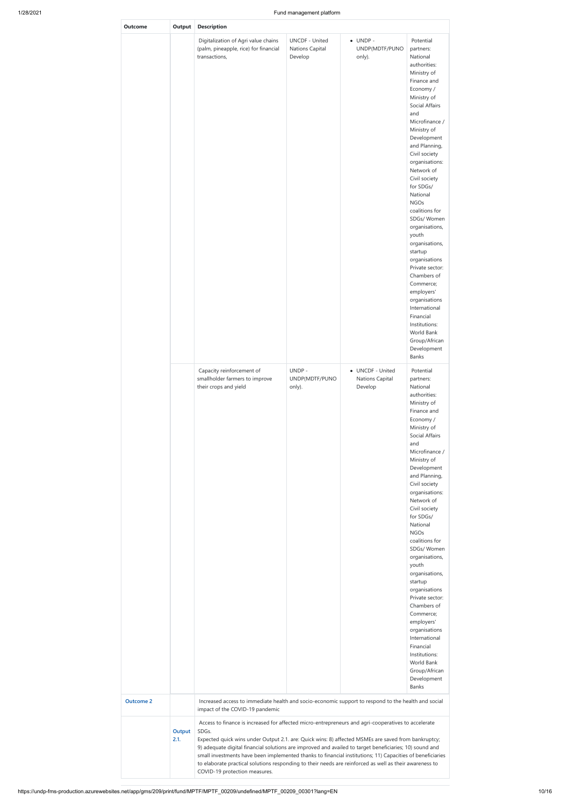| <b>Outcome</b>   | Output         | <b>Description</b>                                                                                                                                                                                                                                                                                                                                                                                                                                                                                                                                                                      |                                                     |                                                |                                                                                                                                                                                                                                                                                                                                                                                                                                                                                                                                                                                                                             |
|------------------|----------------|-----------------------------------------------------------------------------------------------------------------------------------------------------------------------------------------------------------------------------------------------------------------------------------------------------------------------------------------------------------------------------------------------------------------------------------------------------------------------------------------------------------------------------------------------------------------------------------------|-----------------------------------------------------|------------------------------------------------|-----------------------------------------------------------------------------------------------------------------------------------------------------------------------------------------------------------------------------------------------------------------------------------------------------------------------------------------------------------------------------------------------------------------------------------------------------------------------------------------------------------------------------------------------------------------------------------------------------------------------------|
|                  |                | Digitalization of Agri value chains<br>(palm, pineapple, rice) for financial<br>transactions,                                                                                                                                                                                                                                                                                                                                                                                                                                                                                           | <b>UNCDF - United</b><br>Nations Capital<br>Develop | $\bullet$ UNDP -<br>UNDP(MDTF/PUNO<br>only).   | Potential<br>partners:<br>National<br>authorities:<br>Ministry of<br>Finance and<br>Economy /<br>Ministry of<br><b>Social Affairs</b><br>and<br>Microfinance /<br>Ministry of<br>Development<br>and Planning,<br>Civil society<br>organisations:<br>Network of<br>Civil society<br>for SDGs/<br>National<br><b>NGOs</b><br>coalitions for<br>SDGs/Women<br>organisations,<br>youth<br>organisations,<br>startup<br>organisations<br>Private sector:<br>Chambers of<br>Commerce;<br>employers'<br>organisations<br>International<br>Financial<br>Institutions:<br>World Bank<br>Group/African<br>Development<br><b>Banks</b> |
|                  |                | Capacity reinforcement of<br>smallholder farmers to improve<br>their crops and yield                                                                                                                                                                                                                                                                                                                                                                                                                                                                                                    | UNDP-<br>UNDP(MDTF/PUNO<br>only).                   | • UNCDF - United<br>Nations Capital<br>Develop | Potential<br>partners:<br>National<br>authorities:<br>Ministry of<br>Finance and<br>Economy /<br>Ministry of<br><b>Social Affairs</b><br>and<br>Microfinance /<br>Ministry of<br>Development<br>and Planning,<br>Civil society<br>organisations:<br>Network of<br>Civil society<br>for SDGs/<br>National<br><b>NGOs</b><br>coalitions for<br>SDGs/Women<br>organisations,<br>youth<br>organisations,<br>startup<br>organisations<br>Private sector:<br>Chambers of<br>Commerce;<br>employers'<br>organisations<br>International<br>Financial<br>Institutions:<br>World Bank<br>Group/African<br>Development<br><b>Banks</b> |
| <b>Outcome 2</b> |                | Increased access to immediate health and socio-economic support to respond to the health and social<br>impact of the COVID-19 pandemic                                                                                                                                                                                                                                                                                                                                                                                                                                                  |                                                     |                                                |                                                                                                                                                                                                                                                                                                                                                                                                                                                                                                                                                                                                                             |
|                  | Output<br>2.1. | Access to finance is increased for affected micro-entrepreneurs and agri-cooperatives to accelerate<br>SDGs.<br>Expected quick wins under Output 2.1. are: Quick wins: 8) affected MSMEs are saved from bankruptcy;<br>9) adequate digital financial solutions are improved and availed to target beneficiaries; 10) sound and<br>small investments have been implemented thanks to financial institutions; 11) Capacities of beneficiaries<br>to elaborate practical solutions responding to their needs are reinforced as well as their awareness to<br>COVID-19 protection measures. |                                                     |                                                |                                                                                                                                                                                                                                                                                                                                                                                                                                                                                                                                                                                                                             |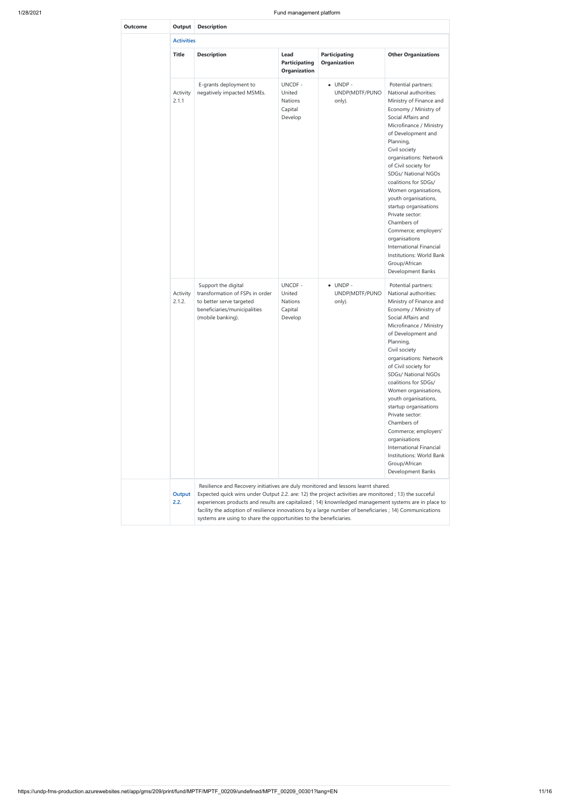https://undp-fms-production.azurewebsites.net/app/gms/209/print/fund/MPTF/MPTF\_00209/undefined/MPTF\_00209\_00301?lang=EN 11/16

| <b>Outcome</b> | Output             | <b>Description</b>                                                                                                                                                                                                                                                                                                                                                                                                                                                                    |                                                                 |                                              |                                                                                                                                                                                                                                                                                                                                                                                                                                                                                                                                                         |  |  |  |  |  |  |
|----------------|--------------------|---------------------------------------------------------------------------------------------------------------------------------------------------------------------------------------------------------------------------------------------------------------------------------------------------------------------------------------------------------------------------------------------------------------------------------------------------------------------------------------|-----------------------------------------------------------------|----------------------------------------------|---------------------------------------------------------------------------------------------------------------------------------------------------------------------------------------------------------------------------------------------------------------------------------------------------------------------------------------------------------------------------------------------------------------------------------------------------------------------------------------------------------------------------------------------------------|--|--|--|--|--|--|
|                | <b>Activities</b>  |                                                                                                                                                                                                                                                                                                                                                                                                                                                                                       |                                                                 |                                              |                                                                                                                                                                                                                                                                                                                                                                                                                                                                                                                                                         |  |  |  |  |  |  |
|                | <b>Title</b>       | <b>Description</b>                                                                                                                                                                                                                                                                                                                                                                                                                                                                    | Lead<br><b>Participating</b><br>Organization                    | <b>Participating</b><br>Organization         | <b>Other Organizations</b>                                                                                                                                                                                                                                                                                                                                                                                                                                                                                                                              |  |  |  |  |  |  |
|                | Activity<br>2.1.1  | E-grants deployment to<br>negatively impacted MSMEs.                                                                                                                                                                                                                                                                                                                                                                                                                                  | <b>UNCDF-</b><br>United<br><b>Nations</b><br>Capital<br>Develop | $\bullet$ UNDP -<br>UNDP(MDTF/PUNO<br>only). | Potential partners:<br>National authorities:<br>Ministry of Finance and<br>Economy / Ministry of<br>Social Affairs and<br>Microfinance / Ministry<br>of Development and<br>Planning,<br>Civil society<br>organisations: Network<br>of Civil society for<br>SDGs/ National NGOs<br>coalitions for SDGs/<br>Women organisations,<br>youth organisations,<br>startup organisations<br>Private sector:<br>Chambers of<br>Commerce; employers'<br>organisations<br>International Financial<br>Institutions: World Bank<br>Group/African<br>Development Banks |  |  |  |  |  |  |
|                | Activity<br>2.1.2. | Support the digital<br>transformation of FSPs in order<br>to better serve targeted<br>beneficiaries/municipalities<br>(mobile banking).                                                                                                                                                                                                                                                                                                                                               | UNCDF-<br>United<br><b>Nations</b><br>Capital<br>Develop        | $\bullet$ UNDP -<br>UNDP(MDTF/PUNO<br>only). | Potential partners:<br>National authorities:<br>Ministry of Finance and<br>Economy / Ministry of<br>Social Affairs and<br>Microfinance / Ministry<br>of Development and<br>Planning,<br>Civil society<br>organisations: Network<br>of Civil society for<br>SDGs/ National NGOs<br>coalitions for SDGs/<br>Women organisations,<br>youth organisations,<br>startup organisations<br>Private sector:<br>Chambers of<br>Commerce; employers'<br>organisations<br>International Financial<br>Institutions: World Bank<br>Group/African<br>Development Banks |  |  |  |  |  |  |
|                | Output<br>2.2.     | Resilience and Recovery initiatives are duly monitored and lessons learnt shared.<br>Expected quick wins under Output 2.2. are: 12) the project activities are monitored ; 13) the succeful<br>experiences products and results are capitalized ; 14) knownledged management systems are in place to<br>facility the adoption of resilience innovations by a large number of beneficiaries ; 14) Communications<br>systems are using to share the opportunities to the beneficiaries. |                                                                 |                                              |                                                                                                                                                                                                                                                                                                                                                                                                                                                                                                                                                         |  |  |  |  |  |  |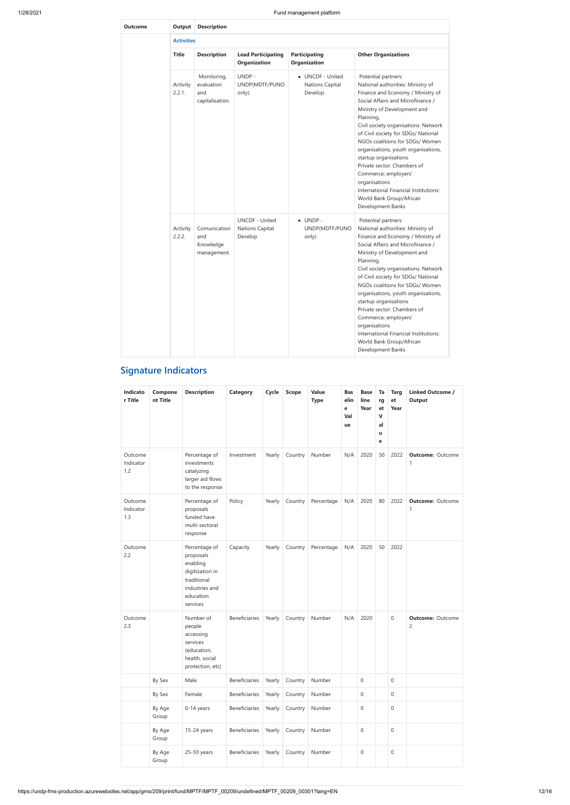| <b>Outcome</b> | Output             | <b>Description</b>                                  |                                                     |                                                |                                                                                                                                                                                                                                                                                                                                                                                                                                                                                                                                    |
|----------------|--------------------|-----------------------------------------------------|-----------------------------------------------------|------------------------------------------------|------------------------------------------------------------------------------------------------------------------------------------------------------------------------------------------------------------------------------------------------------------------------------------------------------------------------------------------------------------------------------------------------------------------------------------------------------------------------------------------------------------------------------------|
|                | <b>Activities</b>  |                                                     |                                                     |                                                |                                                                                                                                                                                                                                                                                                                                                                                                                                                                                                                                    |
|                | <b>Title</b>       | <b>Description</b>                                  | <b>Lead Participating</b><br><b>Organization</b>    | <b>Participating</b><br><b>Organization</b>    | <b>Other Organizations</b>                                                                                                                                                                                                                                                                                                                                                                                                                                                                                                         |
|                | Activity<br>2.2.1. | Monitoring,<br>evaluation<br>and<br>capitalisation. | UNDP-<br>UNDP(MDTF/PUNO<br>only).                   | • UNCDF - United<br>Nations Capital<br>Develop | Potential partners:<br>National authorities: Ministry of<br>Finance and Economy / Ministry of<br>Social Affairs and Microfinance /<br>Ministry of Development and<br>Planning,<br>Civil society organisations: Network<br>of Civil society for SDGs/ National<br>NGOs coalitions for SDGs/Women<br>organisations, youth organisations,<br>startup organisations<br>Private sector: Chambers of<br>Commerce; employers'<br>organisations<br>International Financial Institutions:<br>World Bank Group/African<br>Development Banks  |
|                | Activity<br>2.2.2. | Comunication<br>and<br>Knowledge<br>management.     | <b>UNCDF - United</b><br>Nations Capital<br>Develop | $\bullet$ UNDP -<br>UNDP(MDTF/PUNO<br>only).   | Potential partners:<br>National authorities: Ministry of<br>Finance and Economy / Ministry of<br>Social Affairs and Microfinance /<br>Ministry of Development and<br>Planning,<br>Civil society organisations: Network<br>of Civil society for SDGs/ National<br>NGOs coalitions for SDGs/ Women<br>organisations, youth organisations,<br>startup organisations<br>Private sector: Chambers of<br>Commerce; employers'<br>organisations<br>International Financial Institutions:<br>World Bank Group/African<br>Development Banks |

# **Signature Indicators**

| Indicato<br>r Title         | Compone<br>nt Title | <b>Description</b>                                                                                                  | <b>Category</b>      | Cycle  | <b>Scope</b> | Value<br><b>Type</b> | <b>Bas</b><br>elin<br>е<br>Val<br>ue | <b>Base</b><br>line<br>Year | Ta<br>rg<br>et<br>$\mathbf{V}$<br>al<br>u<br>е | <b>Targ</b><br>${\bf e}{\bf t}$<br>Year | <b>Linked Outcome /</b><br><b>Output</b> |
|-----------------------------|---------------------|---------------------------------------------------------------------------------------------------------------------|----------------------|--------|--------------|----------------------|--------------------------------------|-----------------------------|------------------------------------------------|-----------------------------------------|------------------------------------------|
| Outcome<br>Indicator<br>1.2 |                     | Percentage of<br>investments<br>catalyzing<br>larger aid flows<br>to the response                                   | Investment           | Yearly | Country      | Number               | N/A                                  | 2020                        | 50                                             | 2022                                    | <b>Outcome: Outcome</b><br>1             |
| Outcome<br>Indicator<br>1.3 |                     | Percentage of<br>proposals<br>funded have<br>multi-sectoral<br>response                                             | Policy               | Yearly | Country      | Percentage           | N/A                                  | 2020                        | 80                                             | 2022                                    | <b>Outcome: Outcome</b><br>1             |
| Outcome<br>2.2              |                     | Percentage of<br>proposals<br>enabling<br>digitization in<br>traditional<br>industries and<br>education<br>services | Capacity             | Yearly | Country      | Percentage           | N/A                                  | 2020                        | 50                                             | 2022                                    |                                          |
| Outcome<br>2.3              |                     | Number of<br>people<br>accessing<br>services<br>(education,<br>health, social<br>protection, etc)                   | Beneficiaries        | Yearly | Country      | Number               | N/A                                  | 2020                        |                                                | 0                                       | <b>Outcome: Outcome</b><br>2             |
|                             | By Sex              | Male                                                                                                                | <b>Beneficiaries</b> | Yearly | Country      | Number               |                                      | $\mathbf{0}$                |                                                | 0                                       |                                          |
|                             | By Sex              | Female                                                                                                              | Beneficiaries        | Yearly | Country      | Number               |                                      | $\boldsymbol{0}$            |                                                | 0                                       |                                          |
|                             | By Age<br>Group     | 0-14 years                                                                                                          | Beneficiaries        | Yearly | Country      | Number               |                                      | $\boldsymbol{0}$            |                                                | 0                                       |                                          |
|                             | By Age<br>Group     | 15-24 years                                                                                                         | Beneficiaries        | Yearly | Country      | Number               |                                      | $\boldsymbol{0}$            |                                                | $\mathsf{O}\xspace$                     |                                          |
|                             | By Age<br>Group     | 25-59 years                                                                                                         | <b>Beneficiaries</b> | Yearly | Country      | Number               |                                      | $\mbox{O}$                  |                                                | $\mathsf{O}\xspace$                     |                                          |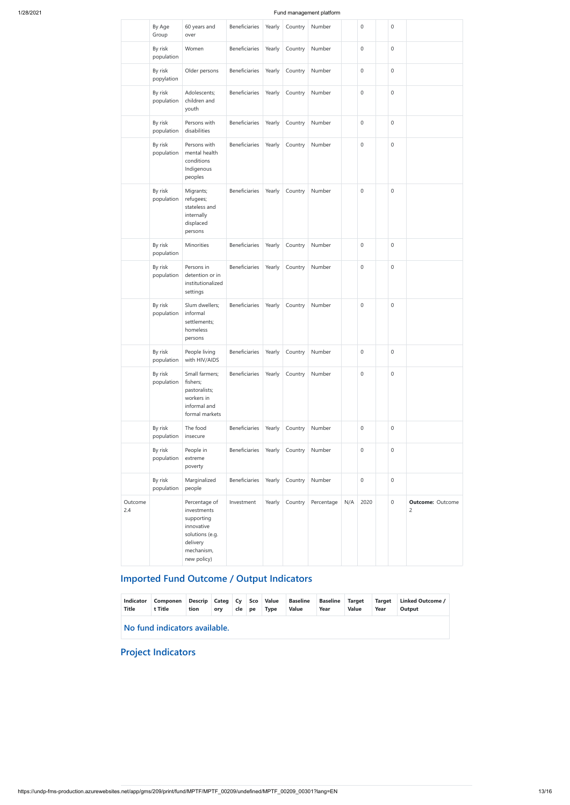|                | By Age<br>Group       | 60 years and<br>over                                                                                                 | Beneficiaries        | Yearly | Country | Number     |     | 0                | $\mathbf 0$      |                                           |
|----------------|-----------------------|----------------------------------------------------------------------------------------------------------------------|----------------------|--------|---------|------------|-----|------------------|------------------|-------------------------------------------|
|                | By risk<br>population | Women                                                                                                                | Beneficiaries        | Yearly | Country | Number     |     | $\boldsymbol{0}$ | $\mathbf{0}$     |                                           |
|                | By risk<br>popylation | Older persons                                                                                                        | Beneficiaries        | Yearly | Country | Number     |     | $\boldsymbol{0}$ | $\mathbf 0$      |                                           |
|                | By risk<br>population | Adolescents;<br>children and<br>youth                                                                                | <b>Beneficiaries</b> | Yearly | Country | Number     |     | 0                | $\mathbf{0}$     |                                           |
|                | By risk<br>population | Persons with<br>disabilities                                                                                         | Beneficiaries        | Yearly | Country | Number     |     | 0                | $\boldsymbol{0}$ |                                           |
|                | By risk<br>population | Persons with<br>mental health<br>conditions<br>Indigenous<br>peoples                                                 | Beneficiaries        | Yearly | Country | Number     |     | $\boldsymbol{0}$ | $\mathbf 0$      |                                           |
|                | By risk<br>population | Migrants;<br>refugees;<br>stateless and<br>internally<br>displaced<br>persons                                        | <b>Beneficiaries</b> | Yearly | Country | Number     |     | $\mathbf 0$      | $\mathbf 0$      |                                           |
|                | By risk<br>population | Minorities                                                                                                           | Beneficiaries        | Yearly | Country | Number     |     | $\boldsymbol{0}$ | $\mathbf{0}$     |                                           |
|                | By risk<br>population | Persons in<br>detention or in<br>institutionalized<br>settings                                                       | Beneficiaries        | Yearly | Country | Number     |     | $\boldsymbol{0}$ | $\mathbf 0$      |                                           |
|                | By risk<br>population | Slum dwellers;<br>informal<br>settlements;<br>homeless<br>persons                                                    | Beneficiaries        | Yearly | Country | Number     |     | $\boldsymbol{0}$ | $\mathbf 0$      |                                           |
|                | By risk<br>population | People living<br>with HIV/AIDS                                                                                       | Beneficiaries        | Yearly | Country | Number     |     | $\boldsymbol{0}$ | $\boldsymbol{0}$ |                                           |
|                | By risk<br>population | Small farmers;<br>fishers;<br>pastoralists;<br>workers in<br>informal and<br>formal markets                          | <b>Beneficiaries</b> | Yearly | Country | Number     |     | $\boldsymbol{0}$ | $\mathbf 0$      |                                           |
|                | By risk<br>population | The food<br>insecure                                                                                                 | Beneficiaries        | Yearly | Country | Number     |     | 0                | $\mathbf 0$      |                                           |
|                | By risk<br>population | People in<br>extreme<br>poverty                                                                                      | Beneficiaries        | Yearly | Country | Number     |     | $\mathbf 0$      | $\mathbf{0}$     |                                           |
|                | By risk<br>population | Marginalized<br>people                                                                                               | Beneficiaries        | Yearly | Country | Number     |     | $\boldsymbol{0}$ | $\mathbf 0$      |                                           |
| Outcome<br>2.4 |                       | Percentage of<br>investments<br>supporting<br>innovative<br>solutions (e.g.<br>delivery<br>mechanism,<br>new policy) | Investment           | Yearly | Country | Percentage | N/A | 2020             | $\mathbf 0$      | <b>Outcome: Outcome</b><br>$\overline{c}$ |

# **Imported Fund Outcome / Output Indicators**

|  |  |  |  |  | Indicator Componen Descrip Categ Cy Sco Value Baseline Baseline Target Target Linked Outcome / |  |
|--|--|--|--|--|------------------------------------------------------------------------------------------------|--|
|  |  |  |  |  |                                                                                                |  |

| Title | Title                         | tion | orv | cle | pe | Type | Value | Year | <b>Value</b> | Year | Output |  |
|-------|-------------------------------|------|-----|-----|----|------|-------|------|--------------|------|--------|--|
|       | No fund indicators available. |      |     |     |    |      |       |      |              |      |        |  |

**Project Indicators**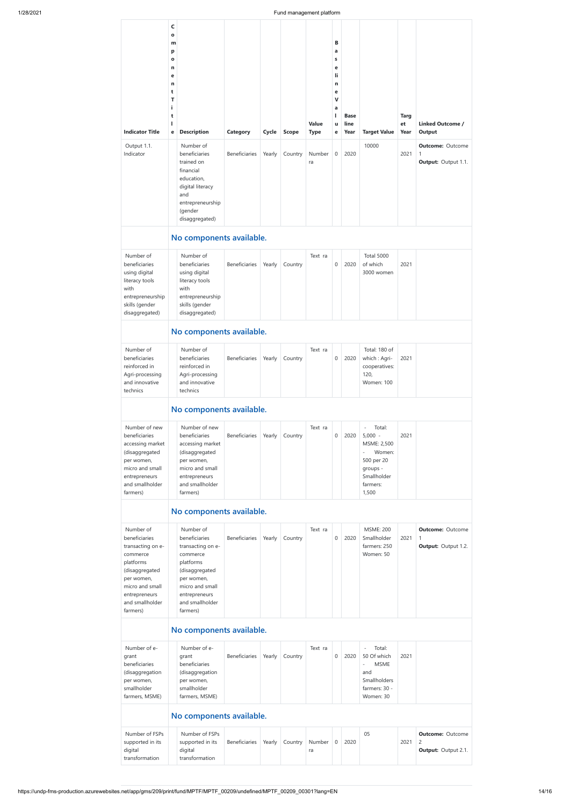**C**

|                                                                                                                                                                             | $\mathbf{o}$<br>m<br>р<br>$\mathbf o$<br>n<br>е<br>n<br>t<br>Т<br>j.<br>t |                                                                                                                                                                             |                      |        |              |                      | В<br>a<br>s<br>е<br>li.<br>n<br>е<br>$\mathbf v$<br>a<br>L | <b>Base</b>  |                                                                                                                                                                    | <b>Targ</b> |                                                                         |
|-----------------------------------------------------------------------------------------------------------------------------------------------------------------------------|---------------------------------------------------------------------------|-----------------------------------------------------------------------------------------------------------------------------------------------------------------------------|----------------------|--------|--------------|----------------------|------------------------------------------------------------|--------------|--------------------------------------------------------------------------------------------------------------------------------------------------------------------|-------------|-------------------------------------------------------------------------|
| <b>Indicator Title</b>                                                                                                                                                      | I.<br>е                                                                   | <b>Description</b>                                                                                                                                                          | Category             | Cycle  | <b>Scope</b> | Value<br><b>Type</b> | u<br>е                                                     | line<br>Year | <b>Target Value</b>                                                                                                                                                | et<br>Year  | <b>Linked Outcome /</b><br>Output                                       |
| Output 1.1.<br>Indicator                                                                                                                                                    |                                                                           | Number of<br>beneficiaries<br>trained on<br>financial<br>education,<br>digital literacy<br>and<br>entrepreneurship<br>(gender<br>disaggregated)                             | <b>Beneficiaries</b> | Yearly | Country      | Number<br>ra         | 0                                                          | 2020         | 10000                                                                                                                                                              | 2021        | <b>Outcome: Outcome</b><br>1<br><b>Output: Output 1.1.</b>              |
|                                                                                                                                                                             | No components available.                                                  |                                                                                                                                                                             |                      |        |              |                      |                                                            |              |                                                                                                                                                                    |             |                                                                         |
| Number of<br>beneficiaries<br>using digital<br>literacy tools<br>with<br>entrepreneurship<br>skills (gender<br>disaggregated)                                               |                                                                           | Number of<br>beneficiaries<br>using digital<br>literacy tools<br>with<br>entrepreneurship<br>skills (gender<br>disaggregated)                                               | Beneficiaries        | Yearly | Country      | Text ra              | 0                                                          | 2020         | <b>Total 5000</b><br>of which<br>3000 women                                                                                                                        | 2021        |                                                                         |
|                                                                                                                                                                             |                                                                           | No components available.                                                                                                                                                    |                      |        |              |                      |                                                            |              |                                                                                                                                                                    |             |                                                                         |
| Number of<br>beneficiaries<br>reinforced in<br>Agri-processing<br>and innovative<br>technics                                                                                |                                                                           | Number of<br>beneficiaries<br>reinforced in<br>Agri-processing<br>and innovative<br>technics                                                                                | Beneficiaries        | Yearly | Country      | Text ra              | $\mathbf 0$                                                | 2020         | Total: 180 of<br>which: Agri-<br>cooperatives:<br>120,<br><b>Women: 100</b>                                                                                        | 2021        |                                                                         |
|                                                                                                                                                                             | No components available.                                                  |                                                                                                                                                                             |                      |        |              |                      |                                                            |              |                                                                                                                                                                    |             |                                                                         |
| Number of new<br>beneficiaries<br>accessing market<br>(disaggregated<br>per women,<br>micro and small<br>entrepreneurs<br>and smallholder<br>farmers)                       |                                                                           | Number of new<br>beneficiaries<br>accessing market<br>(disaggregated<br>per women,<br>micro and small<br>entrepreneurs<br>and smallholder<br>farmers)                       | Beneficiaries        | Yearly | Country      | Text ra              | $\mathbf 0$                                                | 2020         | Total:<br>$\overline{\phantom{a}}$<br>$5,000 -$<br>MSME: 2,500<br>Women:<br>$\overline{\phantom{a}}$<br>500 per 20<br>groups -<br>Smallholder<br>farmers:<br>1,500 | 2021        |                                                                         |
|                                                                                                                                                                             |                                                                           | No components available.                                                                                                                                                    |                      |        |              |                      |                                                            |              |                                                                                                                                                                    |             |                                                                         |
| Number of<br>beneficiaries<br>transacting on e-<br>commerce<br>platforms<br>(disaggregated<br>per women,<br>micro and small<br>entrepreneurs<br>and smallholder<br>farmers) |                                                                           | Number of<br>beneficiaries<br>transacting on e-<br>commerce<br>platforms<br>(disaggregated<br>per women,<br>micro and small<br>entrepreneurs<br>and smallholder<br>farmers) | <b>Beneficiaries</b> | Yearly | Country      | Text ra              | 0                                                          | 2020         | <b>MSME: 200</b><br>Smallholder<br>farmers: 250<br>Women: 50                                                                                                       | 2021        | <b>Outcome: Outcome</b><br>1<br>Output: Output 1.2.                     |
|                                                                                                                                                                             |                                                                           | No components available.                                                                                                                                                    |                      |        |              |                      |                                                            |              |                                                                                                                                                                    |             |                                                                         |
| Number of e-<br>grant<br>beneficiaries<br>(disaggregation<br>per women,<br>smallholder<br>farmers, MSME)                                                                    |                                                                           | Number of e-<br>grant<br>beneficiaries<br>(disaggregation<br>per women,<br>smallholder<br>farmers, MSME)                                                                    | <b>Beneficiaries</b> | Yearly | Country      | Text ra              | 0                                                          | 2020         | Total:<br>$\overline{\phantom{a}}$<br>50 Of which<br><b>MSME</b><br>$\overline{\phantom{a}}$<br>and<br>Smallholders<br>farmers: 30 -<br>Women: 30                  | 2021        |                                                                         |
|                                                                                                                                                                             |                                                                           | No components available.                                                                                                                                                    |                      |        |              |                      |                                                            |              |                                                                                                                                                                    |             |                                                                         |
| Number of FSPs<br>supported in its<br>digital<br>transformation                                                                                                             |                                                                           | Number of FSPs<br>supported in its<br>digital<br>transformation                                                                                                             | Beneficiaries        | Yearly | Country      | Number<br>ra         | 0                                                          | 2020         | 05                                                                                                                                                                 | 2021        | <b>Outcome: Outcome</b><br>$\overline{c}$<br><b>Output: Output 2.1.</b> |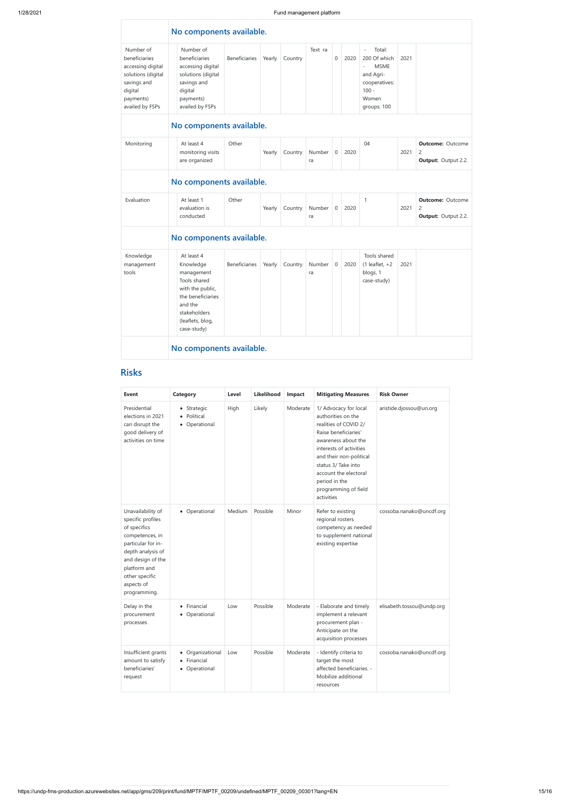|                                                                                                                                 | No components available. |                                                                                                                                                              |                      |        |         |              |                  |      |                                                                                                                                                                |      |                                                                         |
|---------------------------------------------------------------------------------------------------------------------------------|--------------------------|--------------------------------------------------------------------------------------------------------------------------------------------------------------|----------------------|--------|---------|--------------|------------------|------|----------------------------------------------------------------------------------------------------------------------------------------------------------------|------|-------------------------------------------------------------------------|
| Number of<br>beneficiaries<br>accessing digital<br>solutions (digital<br>savings and<br>digital<br>payments)<br>availed by FSPs |                          | Number of<br>beneficiaries<br>accessing digital<br>solutions (digital<br>savings and<br>digital<br>payments)<br>availed by FSPs                              | <b>Beneficiaries</b> | Yearly | Country | Text ra      | $\boldsymbol{0}$ | 2020 | Total:<br>$\overline{\phantom{a}}$<br>200 Of which<br><b>MSME</b><br>$\overline{\phantom{a}}$<br>and Agri-<br>cooperatives:<br>$100 -$<br>Women<br>groups: 100 | 2021 |                                                                         |
|                                                                                                                                 | No components available. |                                                                                                                                                              |                      |        |         |              |                  |      |                                                                                                                                                                |      |                                                                         |
| Monitoring                                                                                                                      |                          | At least 4<br>monitoring visits<br>are organized                                                                                                             | Other                | Yearly | Country | Number<br>ra | $\mathbf 0$      | 2020 | 04                                                                                                                                                             | 2021 | <b>Outcome: Outcome</b><br>$\overline{c}$<br><b>Output:</b> Output 2.2. |
|                                                                                                                                 | No components available. |                                                                                                                                                              |                      |        |         |              |                  |      |                                                                                                                                                                |      |                                                                         |
| Evaluation                                                                                                                      |                          | At least 1<br>evaluation is<br>conducted                                                                                                                     | Other                | Yearly | Country | Number<br>ra | 0                | 2020 | 1                                                                                                                                                              | 2021 | <b>Outcome: Outcome</b><br>$\overline{c}$<br><b>Output: Output 2.2.</b> |
|                                                                                                                                 |                          | No components available.                                                                                                                                     |                      |        |         |              |                  |      |                                                                                                                                                                |      |                                                                         |
| Knowledge<br>management<br>tools                                                                                                |                          | At least 4<br>Knowledge<br>management<br>Tools shared<br>with the public,<br>the beneficiaries<br>and the<br>stakeholders<br>(leaflets, blog,<br>case-study) | Beneficiaries        | Yearly | Country | Number<br>ra | $\mathbf 0$      | 2020 | Tools shared<br>$(1$ leaflet, $+2$<br>blogs, 1<br>case-study)                                                                                                  | 2021 |                                                                         |
|                                                                                                                                 |                          | No components available.                                                                                                                                     |                      |        |         |              |                  |      |                                                                                                                                                                |      |                                                                         |

# **Risks**

| Event                                                                                                                                                                                                     | Category                                                     | Level  | Likelihood | Impact   | <b>Mitigating Measures</b>                                                                                                                                                                                                                                                       | <b>Risk Owner</b>         |
|-----------------------------------------------------------------------------------------------------------------------------------------------------------------------------------------------------------|--------------------------------------------------------------|--------|------------|----------|----------------------------------------------------------------------------------------------------------------------------------------------------------------------------------------------------------------------------------------------------------------------------------|---------------------------|
| Presidential<br>elections in 2021<br>can disrupt the<br>good delivery of<br>activities on time                                                                                                            | • Strategic<br>Political<br>Operational<br>$\bullet$         | High   | Likely     | Moderate | 1/ Advocacy for local<br>authorities on the<br>realities of COVID 2/<br>Raise beneficiaries'<br>awareness about the<br>interests of activities<br>and their non-political<br>status 3/ Take into<br>account the electoral<br>period in the<br>programming of field<br>activities | aristide.djossou@un.org   |
| Unavailability of<br>specific profiles<br>of specifics<br>competences, in<br>particular for in-<br>depth analysis of<br>and design of the<br>platform and<br>other specific<br>aspects of<br>programming. | • Operational                                                | Medium | Possible   | Minor    | Refer to existing<br>regional rosters<br>competency as needed<br>to supplement national<br>existing expertise                                                                                                                                                                    | cossoba.nanako@uncdf.org  |
| Delay in the<br>procurement<br>processes                                                                                                                                                                  | Financial<br>Operational                                     | Low    | Possible   | Moderate | - Elaborate and timely<br>implement a relevant<br>procurement plan -<br>Anticipate on the<br>acquisition processes                                                                                                                                                               | elisabeth.tossou@undp.org |
| Insufficient grants<br>amount to satisfy<br>beneficiaries'<br>request                                                                                                                                     | Organizational<br>$\bullet$<br>Financial<br>Operational<br>٠ | Low    | Possible   | Moderate | - Identify criteria to<br>target the most<br>affected beneficiaries. -<br>Mobilize additional<br>resources                                                                                                                                                                       | cossoba.nanako@uncdf.org  |